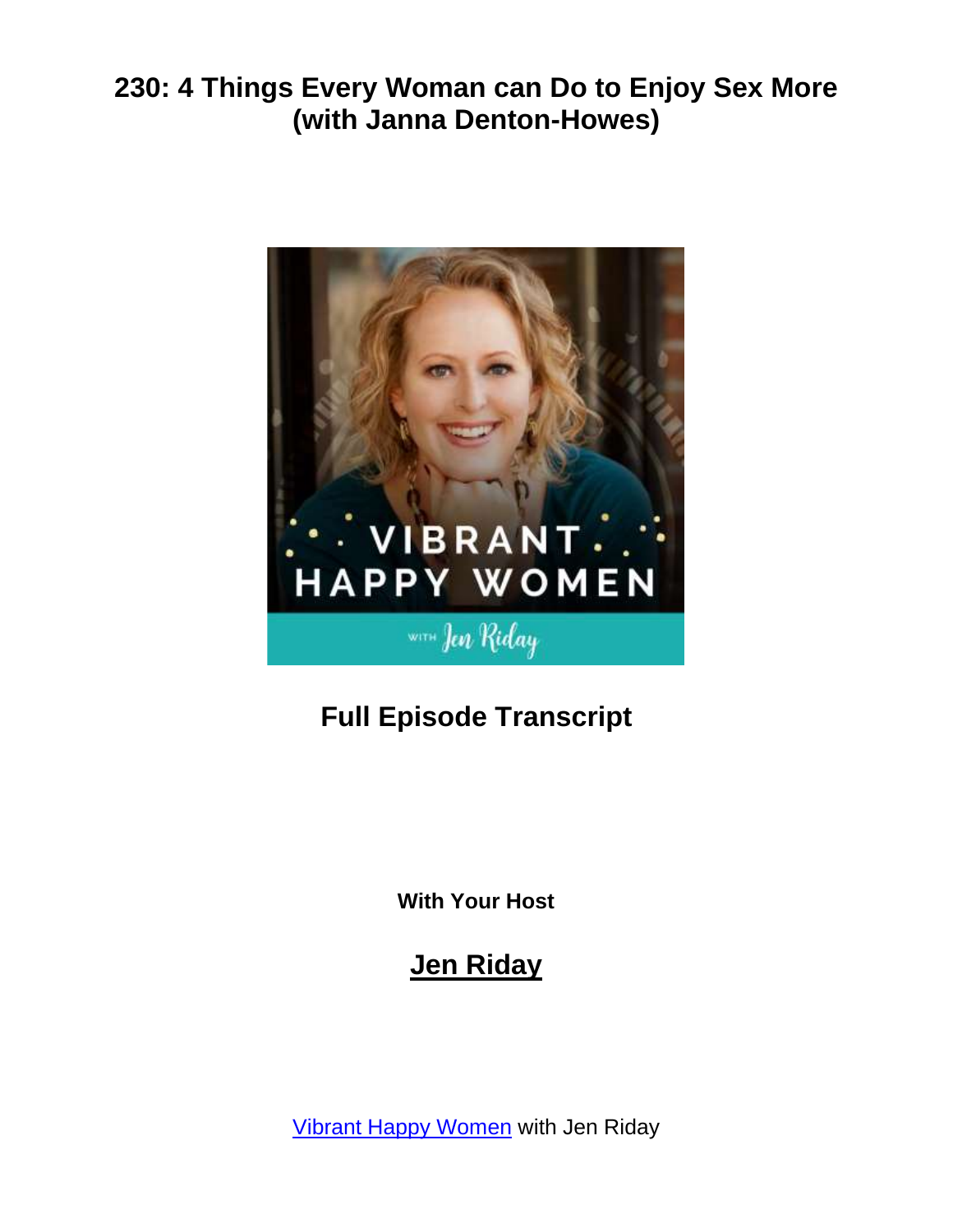

# **Full Episode Transcript**

**With Your Host**

# **Jen Riday**

[Vibrant Happy Women](https://www.jenriday.com/podcast/) with Jen Riday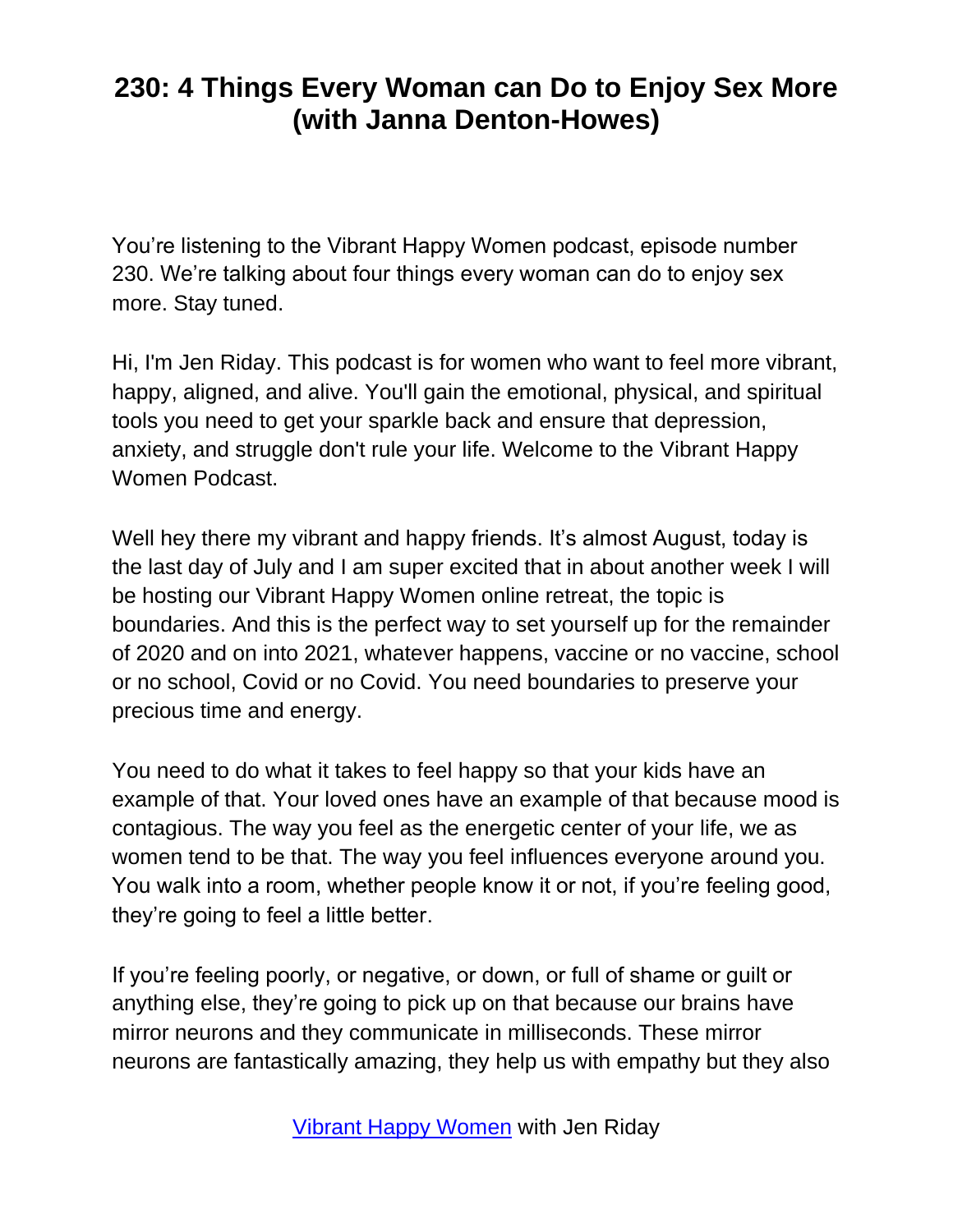You're listening to the Vibrant Happy Women podcast, episode number 230. We're talking about four things every woman can do to enjoy sex more. Stay tuned.

Hi, I'm Jen Riday. This podcast is for women who want to feel more vibrant, happy, aligned, and alive. You'll gain the emotional, physical, and spiritual tools you need to get your sparkle back and ensure that depression, anxiety, and struggle don't rule your life. Welcome to the Vibrant Happy Women Podcast.

Well hey there my vibrant and happy friends. It's almost August, today is the last day of July and I am super excited that in about another week I will be hosting our Vibrant Happy Women online retreat, the topic is boundaries. And this is the perfect way to set yourself up for the remainder of 2020 and on into 2021, whatever happens, vaccine or no vaccine, school or no school, Covid or no Covid. You need boundaries to preserve your precious time and energy.

You need to do what it takes to feel happy so that your kids have an example of that. Your loved ones have an example of that because mood is contagious. The way you feel as the energetic center of your life, we as women tend to be that. The way you feel influences everyone around you. You walk into a room, whether people know it or not, if you're feeling good, they're going to feel a little better.

If you're feeling poorly, or negative, or down, or full of shame or guilt or anything else, they're going to pick up on that because our brains have mirror neurons and they communicate in milliseconds. These mirror neurons are fantastically amazing, they help us with empathy but they also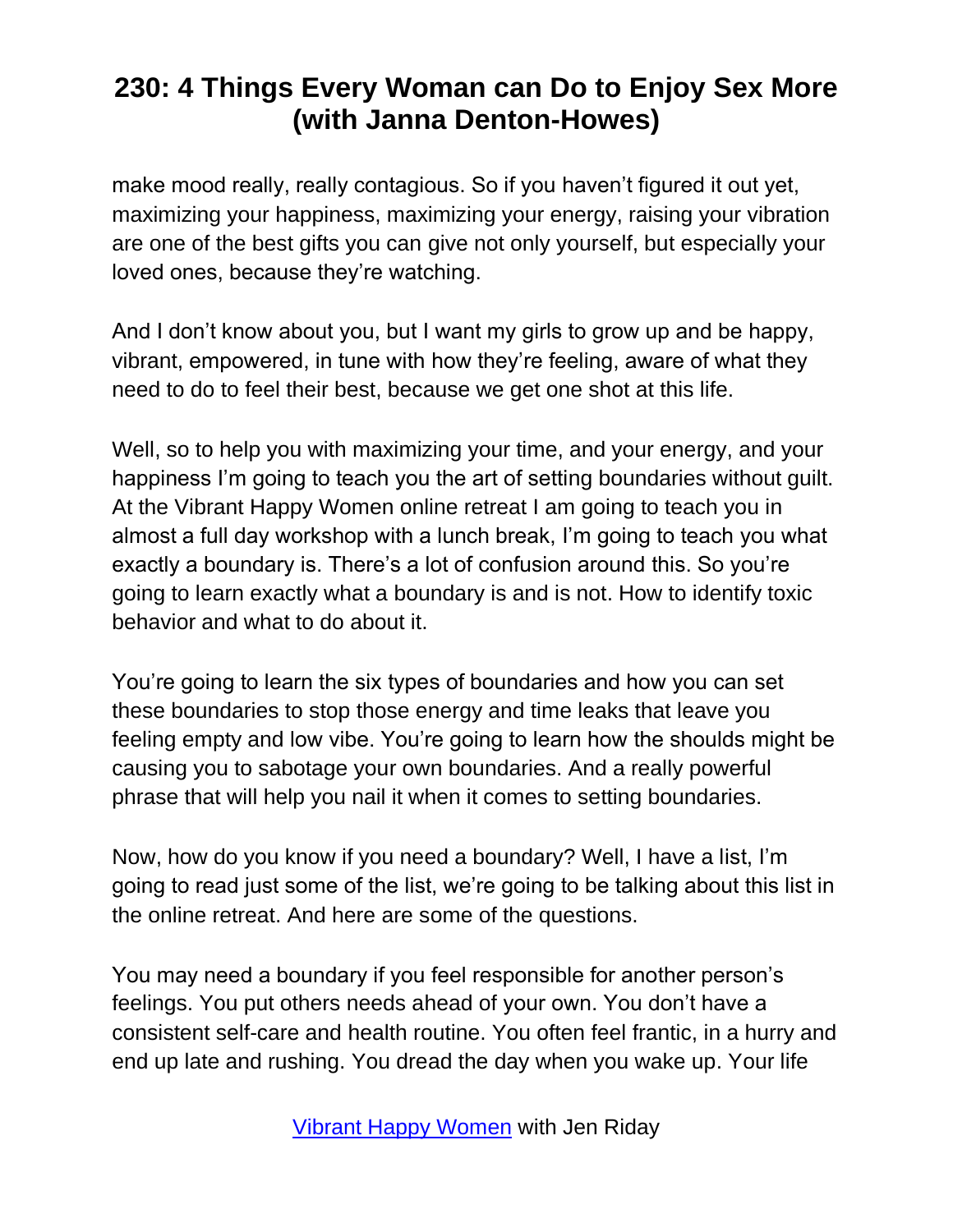make mood really, really contagious. So if you haven't figured it out yet, maximizing your happiness, maximizing your energy, raising your vibration are one of the best gifts you can give not only yourself, but especially your loved ones, because they're watching.

And I don't know about you, but I want my girls to grow up and be happy, vibrant, empowered, in tune with how they're feeling, aware of what they need to do to feel their best, because we get one shot at this life.

Well, so to help you with maximizing your time, and your energy, and your happiness I'm going to teach you the art of setting boundaries without guilt. At the Vibrant Happy Women online retreat I am going to teach you in almost a full day workshop with a lunch break, I'm going to teach you what exactly a boundary is. There's a lot of confusion around this. So you're going to learn exactly what a boundary is and is not. How to identify toxic behavior and what to do about it.

You're going to learn the six types of boundaries and how you can set these boundaries to stop those energy and time leaks that leave you feeling empty and low vibe. You're going to learn how the shoulds might be causing you to sabotage your own boundaries. And a really powerful phrase that will help you nail it when it comes to setting boundaries.

Now, how do you know if you need a boundary? Well, I have a list, I'm going to read just some of the list, we're going to be talking about this list in the online retreat. And here are some of the questions.

You may need a boundary if you feel responsible for another person's feelings. You put others needs ahead of your own. You don't have a consistent self-care and health routine. You often feel frantic, in a hurry and end up late and rushing. You dread the day when you wake up. Your life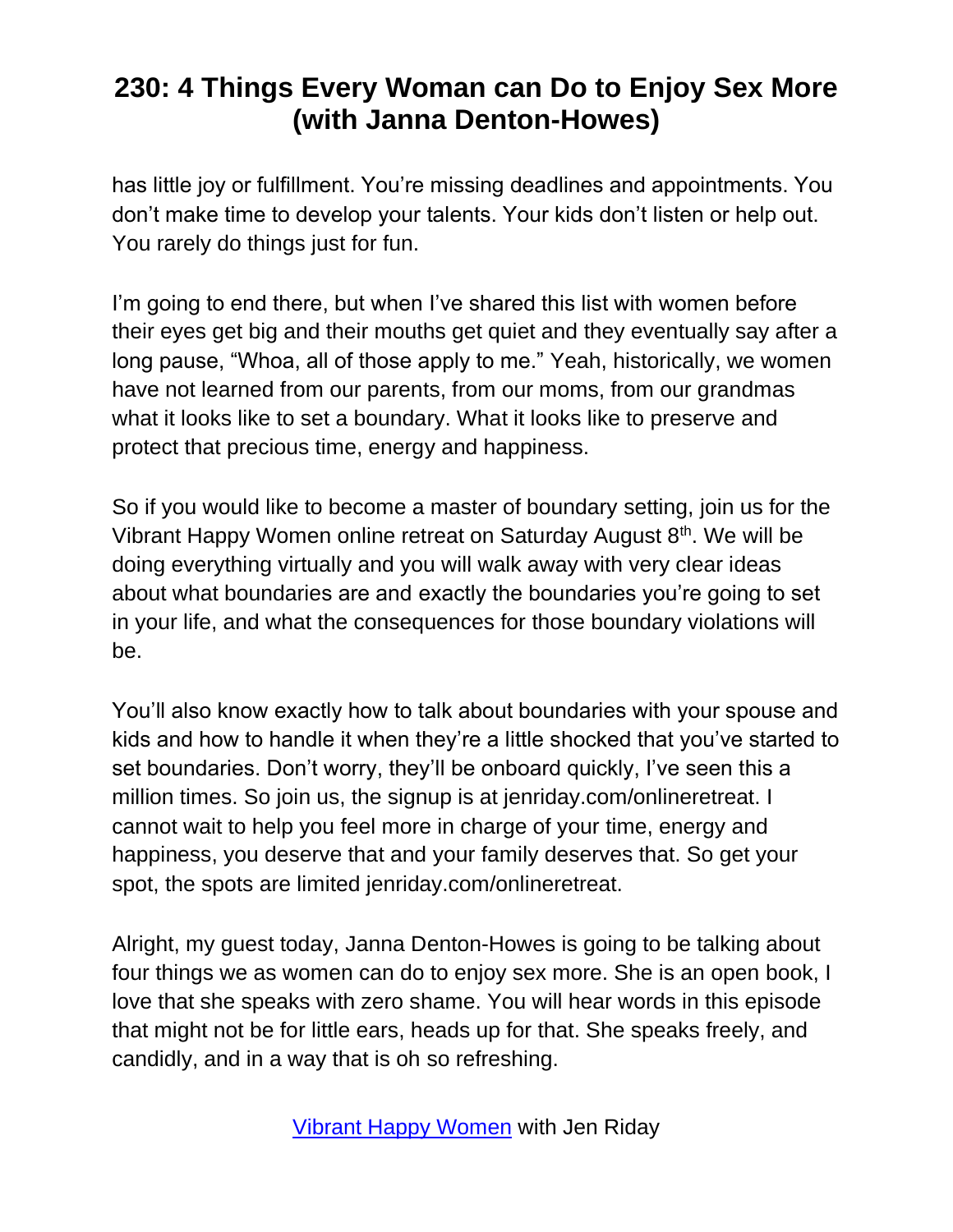has little joy or fulfillment. You're missing deadlines and appointments. You don't make time to develop your talents. Your kids don't listen or help out. You rarely do things just for fun.

I'm going to end there, but when I've shared this list with women before their eyes get big and their mouths get quiet and they eventually say after a long pause, "Whoa, all of those apply to me." Yeah, historically, we women have not learned from our parents, from our moms, from our grandmas what it looks like to set a boundary. What it looks like to preserve and protect that precious time, energy and happiness.

So if you would like to become a master of boundary setting, join us for the Vibrant Happy Women online retreat on Saturday August 8<sup>th</sup>. We will be doing everything virtually and you will walk away with very clear ideas about what boundaries are and exactly the boundaries you're going to set in your life, and what the consequences for those boundary violations will be.

You'll also know exactly how to talk about boundaries with your spouse and kids and how to handle it when they're a little shocked that you've started to set boundaries. Don't worry, they'll be onboard quickly, I've seen this a million times. So join us, the signup is at jenriday.com/onlineretreat. I cannot wait to help you feel more in charge of your time, energy and happiness, you deserve that and your family deserves that. So get your spot, the spots are limited jenriday.com/onlineretreat.

Alright, my guest today, Janna Denton-Howes is going to be talking about four things we as women can do to enjoy sex more. She is an open book, I love that she speaks with zero shame. You will hear words in this episode that might not be for little ears, heads up for that. She speaks freely, and candidly, and in a way that is oh so refreshing.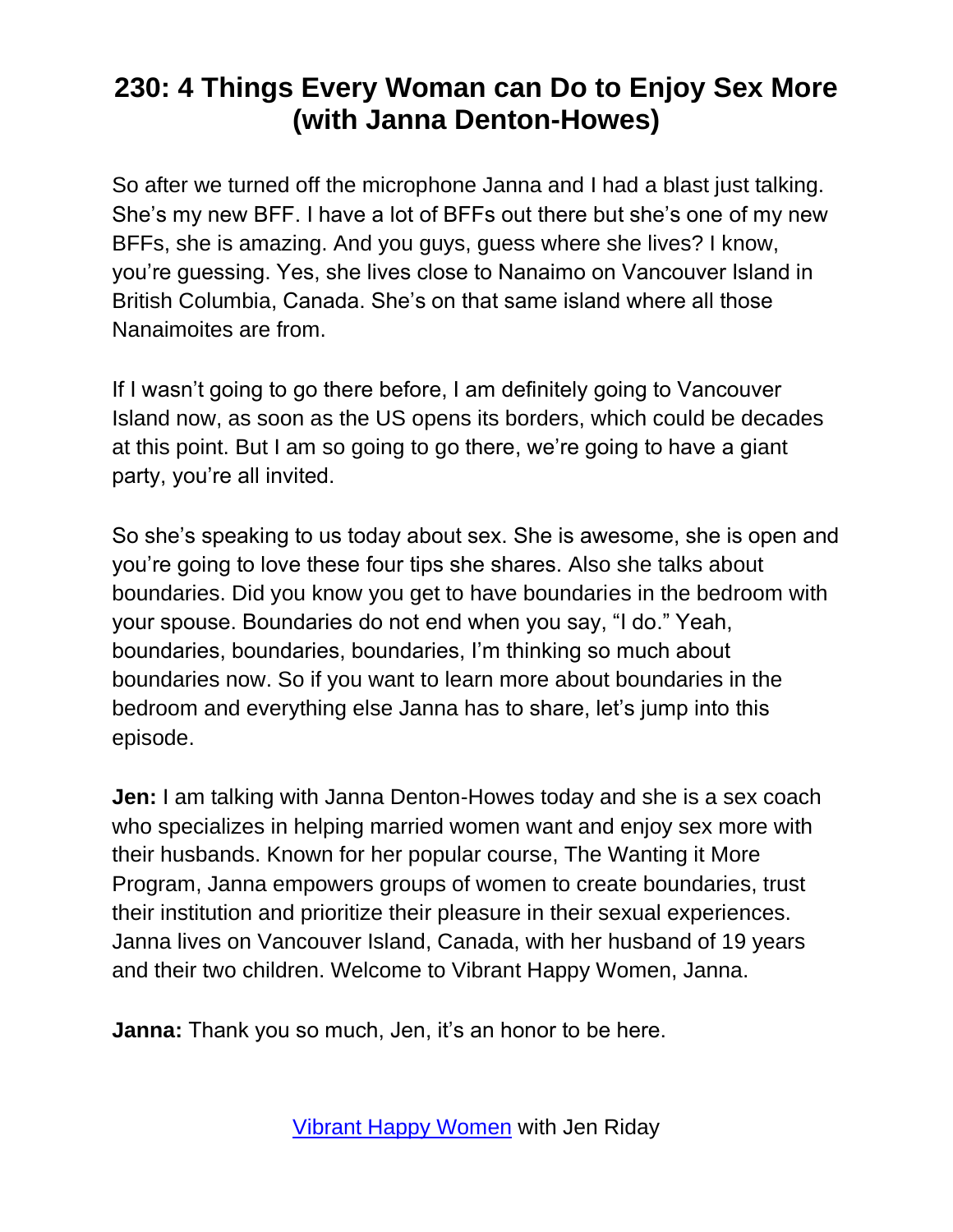So after we turned off the microphone Janna and I had a blast just talking. She's my new BFF. I have a lot of BFFs out there but she's one of my new BFFs, she is amazing. And you guys, guess where she lives? I know, you're guessing. Yes, she lives close to Nanaimo on Vancouver Island in British Columbia, Canada. She's on that same island where all those Nanaimoites are from.

If I wasn't going to go there before, I am definitely going to Vancouver Island now, as soon as the US opens its borders, which could be decades at this point. But I am so going to go there, we're going to have a giant party, you're all invited.

So she's speaking to us today about sex. She is awesome, she is open and you're going to love these four tips she shares. Also she talks about boundaries. Did you know you get to have boundaries in the bedroom with your spouse. Boundaries do not end when you say, "I do." Yeah, boundaries, boundaries, boundaries, I'm thinking so much about boundaries now. So if you want to learn more about boundaries in the bedroom and everything else Janna has to share, let's jump into this episode.

**Jen:** I am talking with Janna Denton-Howes today and she is a sex coach who specializes in helping married women want and enjoy sex more with their husbands. Known for her popular course, The Wanting it More Program, Janna empowers groups of women to create boundaries, trust their institution and prioritize their pleasure in their sexual experiences. Janna lives on Vancouver Island, Canada, with her husband of 19 years and their two children. Welcome to Vibrant Happy Women, Janna.

**Janna:** Thank you so much, Jen, it's an honor to be here.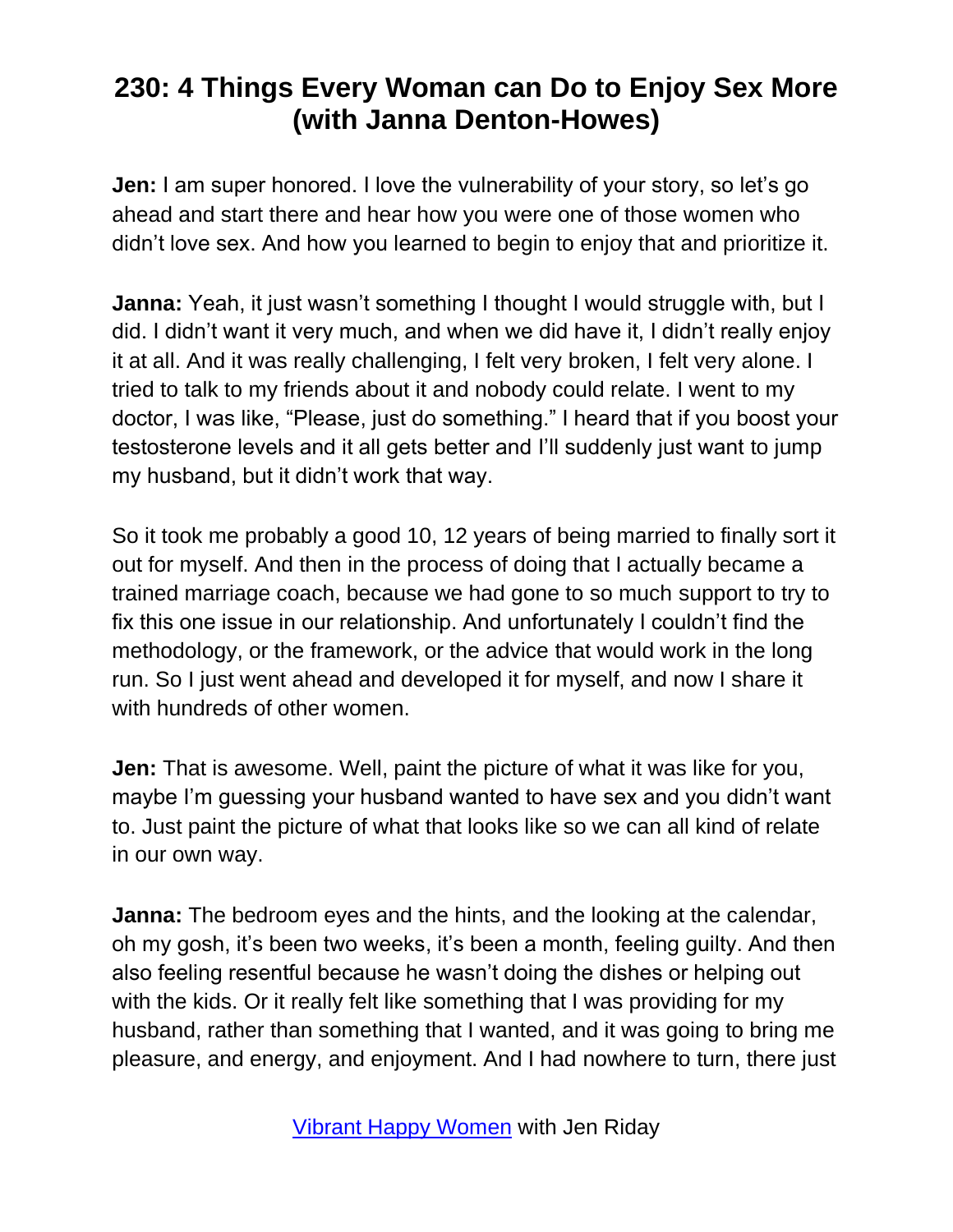**Jen:** I am super honored. I love the vulnerability of your story, so let's go ahead and start there and hear how you were one of those women who didn't love sex. And how you learned to begin to enjoy that and prioritize it.

**Janna:** Yeah, it just wasn't something I thought I would struggle with, but I did. I didn't want it very much, and when we did have it, I didn't really enjoy it at all. And it was really challenging, I felt very broken, I felt very alone. I tried to talk to my friends about it and nobody could relate. I went to my doctor, I was like, "Please, just do something." I heard that if you boost your testosterone levels and it all gets better and I'll suddenly just want to jump my husband, but it didn't work that way.

So it took me probably a good 10, 12 years of being married to finally sort it out for myself. And then in the process of doing that I actually became a trained marriage coach, because we had gone to so much support to try to fix this one issue in our relationship. And unfortunately I couldn't find the methodology, or the framework, or the advice that would work in the long run. So I just went ahead and developed it for myself, and now I share it with hundreds of other women.

**Jen:** That is awesome. Well, paint the picture of what it was like for you, maybe I'm guessing your husband wanted to have sex and you didn't want to. Just paint the picture of what that looks like so we can all kind of relate in our own way.

**Janna:** The bedroom eyes and the hints, and the looking at the calendar, oh my gosh, it's been two weeks, it's been a month, feeling guilty. And then also feeling resentful because he wasn't doing the dishes or helping out with the kids. Or it really felt like something that I was providing for my husband, rather than something that I wanted, and it was going to bring me pleasure, and energy, and enjoyment. And I had nowhere to turn, there just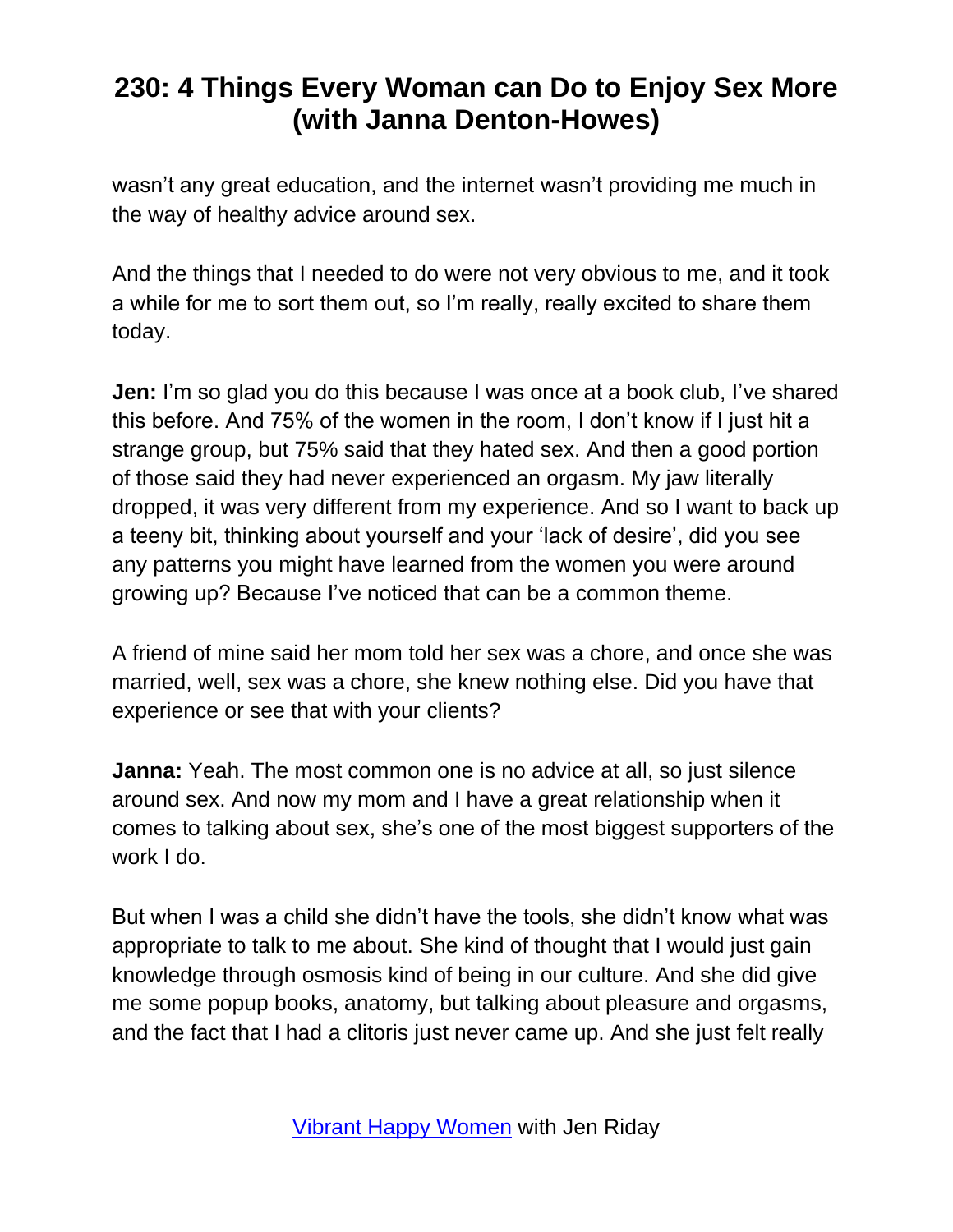wasn't any great education, and the internet wasn't providing me much in the way of healthy advice around sex.

And the things that I needed to do were not very obvious to me, and it took a while for me to sort them out, so I'm really, really excited to share them today.

**Jen:** I'm so glad you do this because I was once at a book club, I've shared this before. And 75% of the women in the room, I don't know if I just hit a strange group, but 75% said that they hated sex. And then a good portion of those said they had never experienced an orgasm. My jaw literally dropped, it was very different from my experience. And so I want to back up a teeny bit, thinking about yourself and your 'lack of desire', did you see any patterns you might have learned from the women you were around growing up? Because I've noticed that can be a common theme.

A friend of mine said her mom told her sex was a chore, and once she was married, well, sex was a chore, she knew nothing else. Did you have that experience or see that with your clients?

**Janna:** Yeah. The most common one is no advice at all, so just silence around sex. And now my mom and I have a great relationship when it comes to talking about sex, she's one of the most biggest supporters of the work I do.

But when I was a child she didn't have the tools, she didn't know what was appropriate to talk to me about. She kind of thought that I would just gain knowledge through osmosis kind of being in our culture. And she did give me some popup books, anatomy, but talking about pleasure and orgasms, and the fact that I had a clitoris just never came up. And she just felt really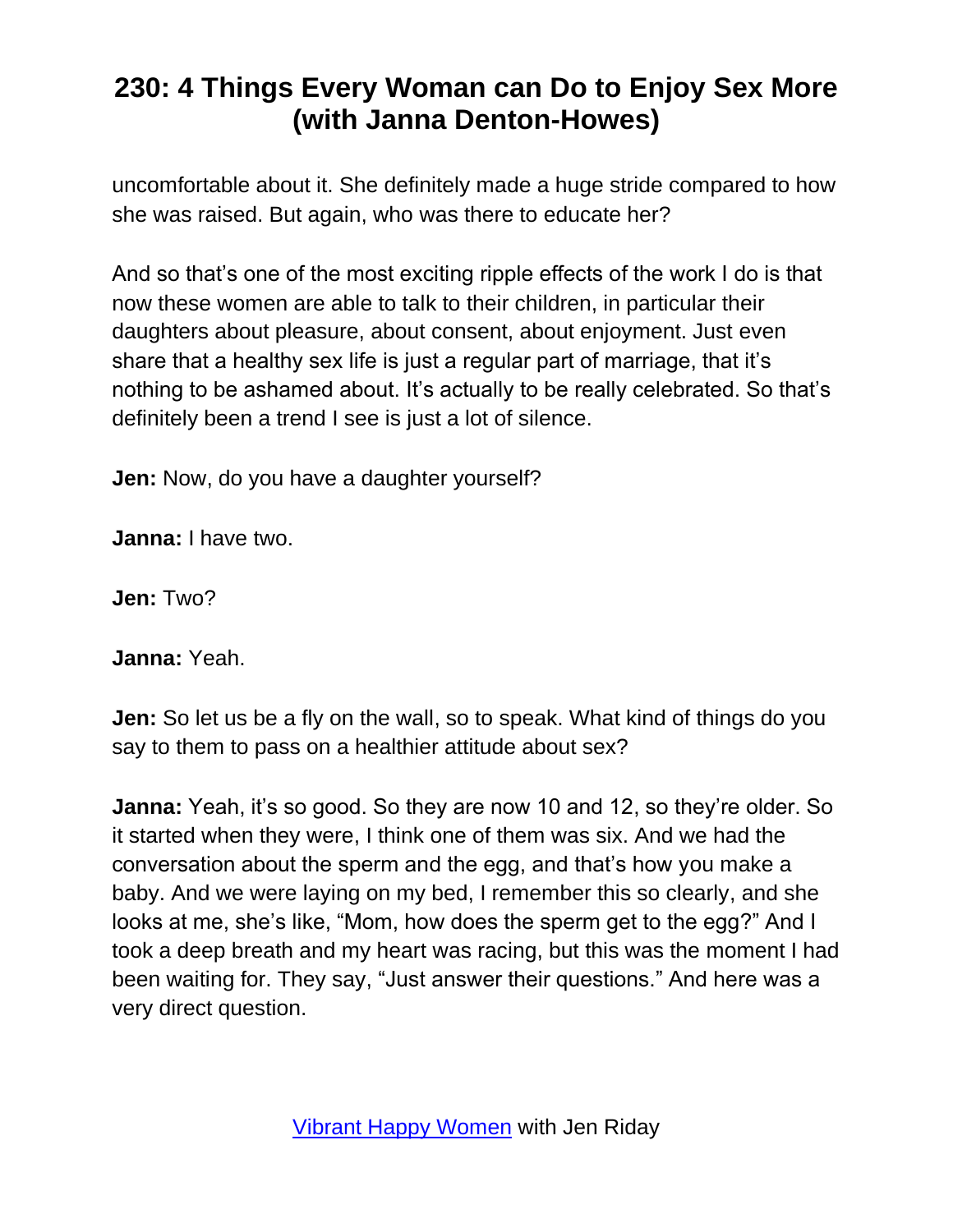uncomfortable about it. She definitely made a huge stride compared to how she was raised. But again, who was there to educate her?

And so that's one of the most exciting ripple effects of the work I do is that now these women are able to talk to their children, in particular their daughters about pleasure, about consent, about enjoyment. Just even share that a healthy sex life is just a regular part of marriage, that it's nothing to be ashamed about. It's actually to be really celebrated. So that's definitely been a trend I see is just a lot of silence.

**Jen:** Now, do you have a daughter yourself?

**Janna:** I have two.

**Jen:** Two?

**Janna:** Yeah.

**Jen:** So let us be a fly on the wall, so to speak. What kind of things do you say to them to pass on a healthier attitude about sex?

**Janna:** Yeah, it's so good. So they are now 10 and 12, so they're older. So it started when they were, I think one of them was six. And we had the conversation about the sperm and the egg, and that's how you make a baby. And we were laying on my bed, I remember this so clearly, and she looks at me, she's like, "Mom, how does the sperm get to the egg?" And I took a deep breath and my heart was racing, but this was the moment I had been waiting for. They say, "Just answer their questions." And here was a very direct question.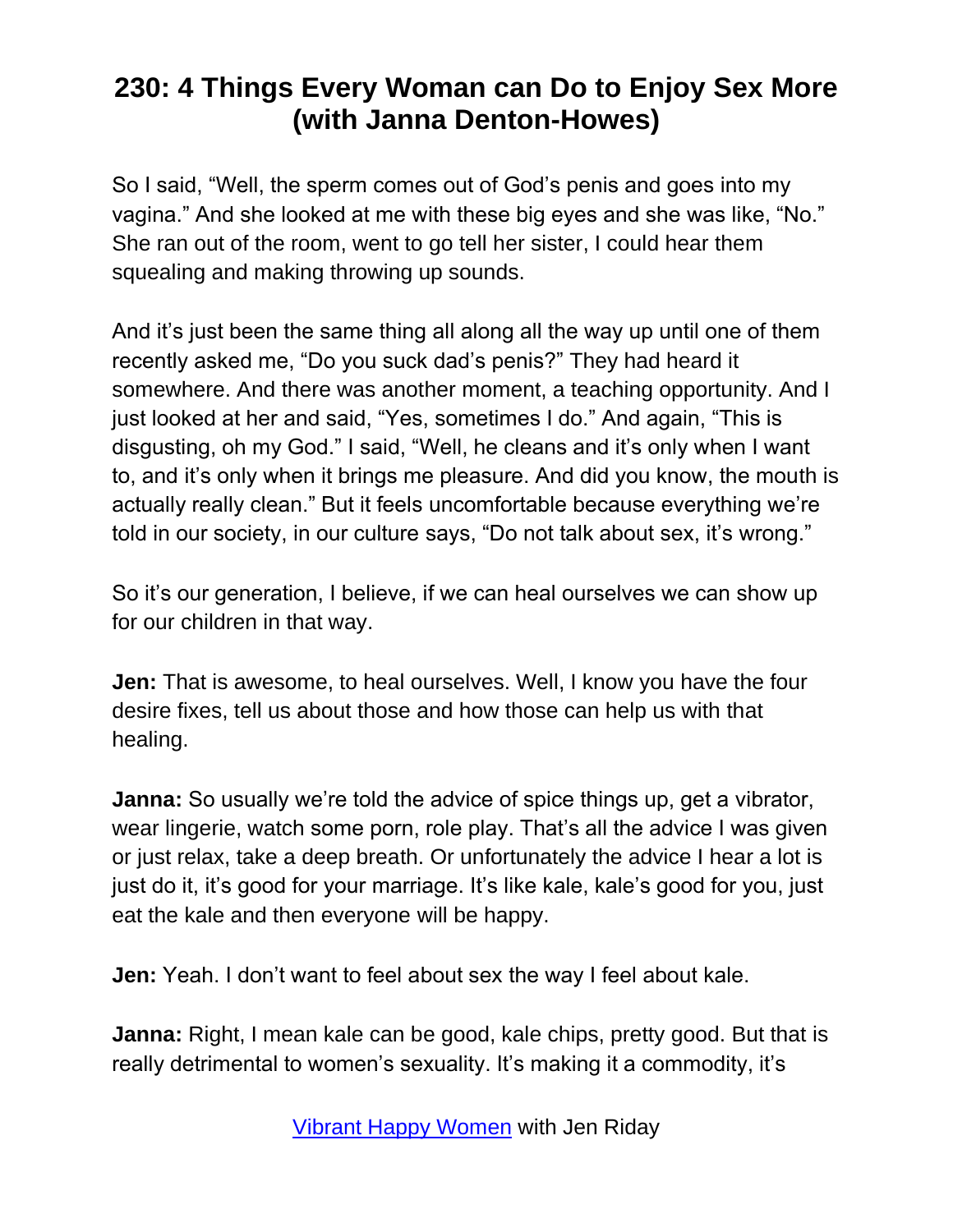So I said, "Well, the sperm comes out of God's penis and goes into my vagina." And she looked at me with these big eyes and she was like, "No." She ran out of the room, went to go tell her sister, I could hear them squealing and making throwing up sounds.

And it's just been the same thing all along all the way up until one of them recently asked me, "Do you suck dad's penis?" They had heard it somewhere. And there was another moment, a teaching opportunity. And I just looked at her and said, "Yes, sometimes I do." And again, "This is disgusting, oh my God." I said, "Well, he cleans and it's only when I want to, and it's only when it brings me pleasure. And did you know, the mouth is actually really clean." But it feels uncomfortable because everything we're told in our society, in our culture says, "Do not talk about sex, it's wrong."

So it's our generation, I believe, if we can heal ourselves we can show up for our children in that way.

**Jen:** That is awesome, to heal ourselves. Well, I know you have the four desire fixes, tell us about those and how those can help us with that healing.

**Janna:** So usually we're told the advice of spice things up, get a vibrator, wear lingerie, watch some porn, role play. That's all the advice I was given or just relax, take a deep breath. Or unfortunately the advice I hear a lot is just do it, it's good for your marriage. It's like kale, kale's good for you, just eat the kale and then everyone will be happy.

**Jen:** Yeah. I don't want to feel about sex the way I feel about kale.

**Janna:** Right, I mean kale can be good, kale chips, pretty good. But that is really detrimental to women's sexuality. It's making it a commodity, it's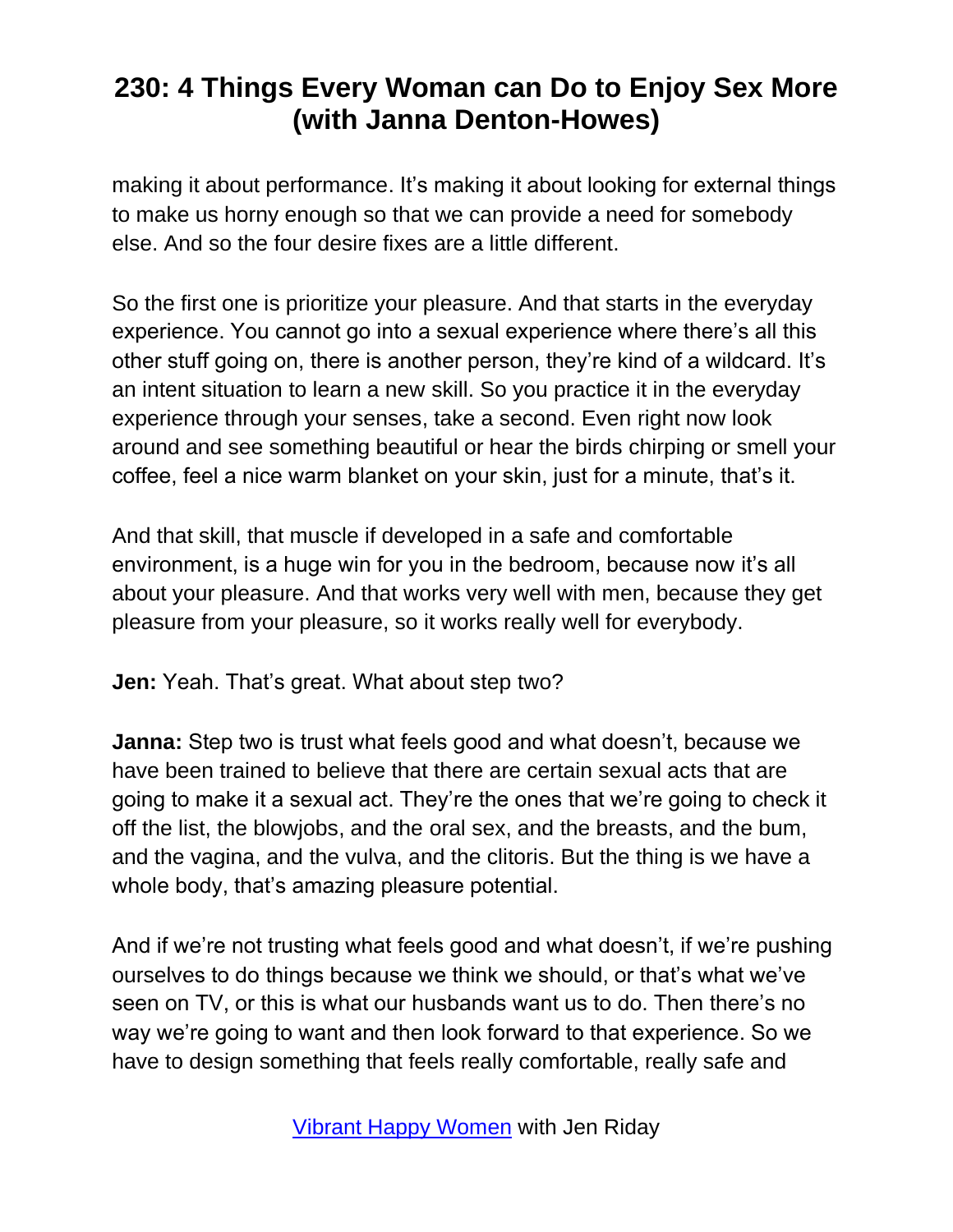making it about performance. It's making it about looking for external things to make us horny enough so that we can provide a need for somebody else. And so the four desire fixes are a little different.

So the first one is prioritize your pleasure. And that starts in the everyday experience. You cannot go into a sexual experience where there's all this other stuff going on, there is another person, they're kind of a wildcard. It's an intent situation to learn a new skill. So you practice it in the everyday experience through your senses, take a second. Even right now look around and see something beautiful or hear the birds chirping or smell your coffee, feel a nice warm blanket on your skin, just for a minute, that's it.

And that skill, that muscle if developed in a safe and comfortable environment, is a huge win for you in the bedroom, because now it's all about your pleasure. And that works very well with men, because they get pleasure from your pleasure, so it works really well for everybody.

**Jen:** Yeah. That's great. What about step two?

**Janna:** Step two is trust what feels good and what doesn't, because we have been trained to believe that there are certain sexual acts that are going to make it a sexual act. They're the ones that we're going to check it off the list, the blowjobs, and the oral sex, and the breasts, and the bum, and the vagina, and the vulva, and the clitoris. But the thing is we have a whole body, that's amazing pleasure potential.

And if we're not trusting what feels good and what doesn't, if we're pushing ourselves to do things because we think we should, or that's what we've seen on TV, or this is what our husbands want us to do. Then there's no way we're going to want and then look forward to that experience. So we have to design something that feels really comfortable, really safe and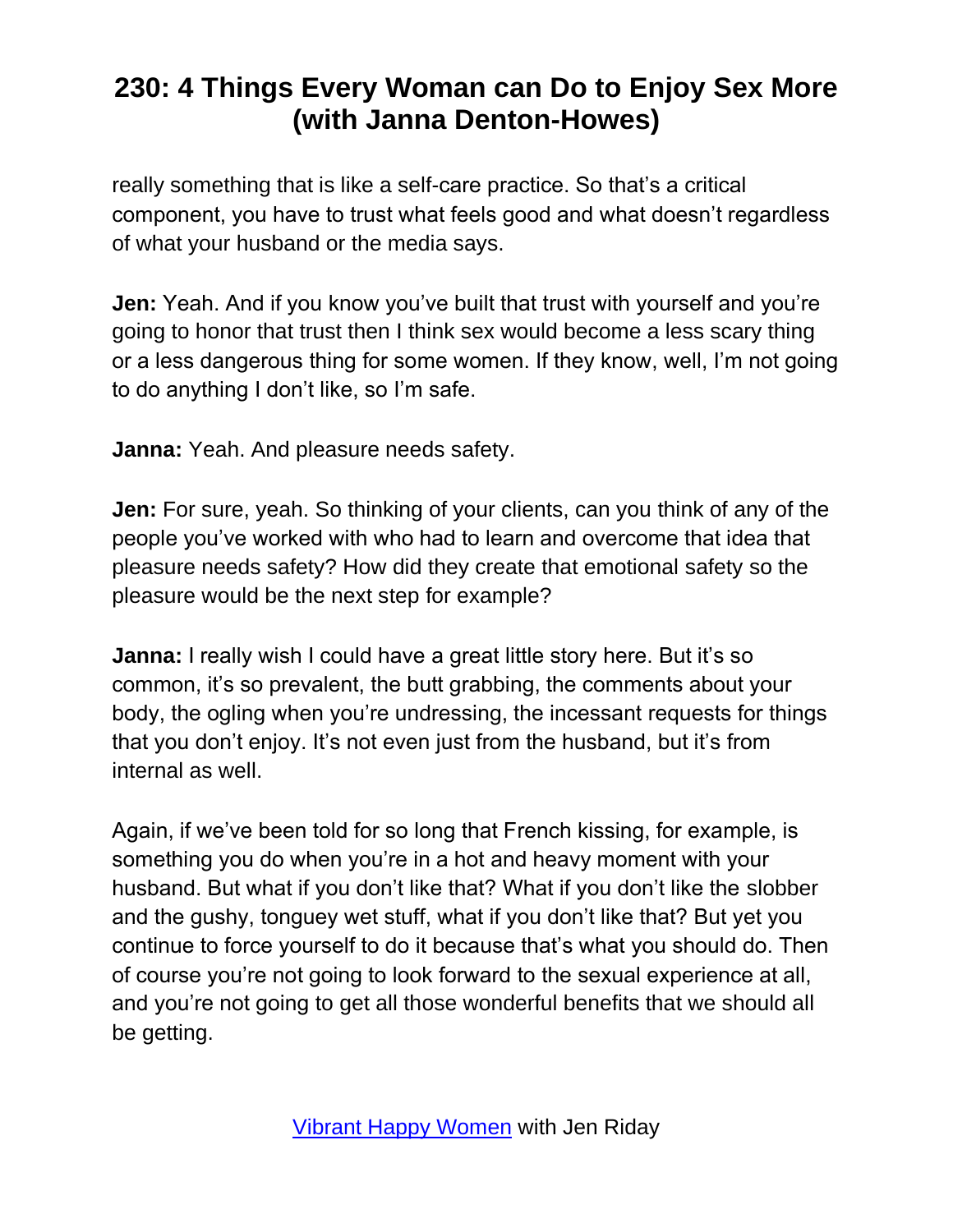really something that is like a self-care practice. So that's a critical component, you have to trust what feels good and what doesn't regardless of what your husband or the media says.

**Jen:** Yeah. And if you know you've built that trust with yourself and you're going to honor that trust then I think sex would become a less scary thing or a less dangerous thing for some women. If they know, well, I'm not going to do anything I don't like, so I'm safe.

**Janna:** Yeah. And pleasure needs safety.

**Jen:** For sure, yeah. So thinking of your clients, can you think of any of the people you've worked with who had to learn and overcome that idea that pleasure needs safety? How did they create that emotional safety so the pleasure would be the next step for example?

**Janna:** I really wish I could have a great little story here. But it's so common, it's so prevalent, the butt grabbing, the comments about your body, the ogling when you're undressing, the incessant requests for things that you don't enjoy. It's not even just from the husband, but it's from internal as well.

Again, if we've been told for so long that French kissing, for example, is something you do when you're in a hot and heavy moment with your husband. But what if you don't like that? What if you don't like the slobber and the gushy, tonguey wet stuff, what if you don't like that? But yet you continue to force yourself to do it because that's what you should do. Then of course you're not going to look forward to the sexual experience at all, and you're not going to get all those wonderful benefits that we should all be getting.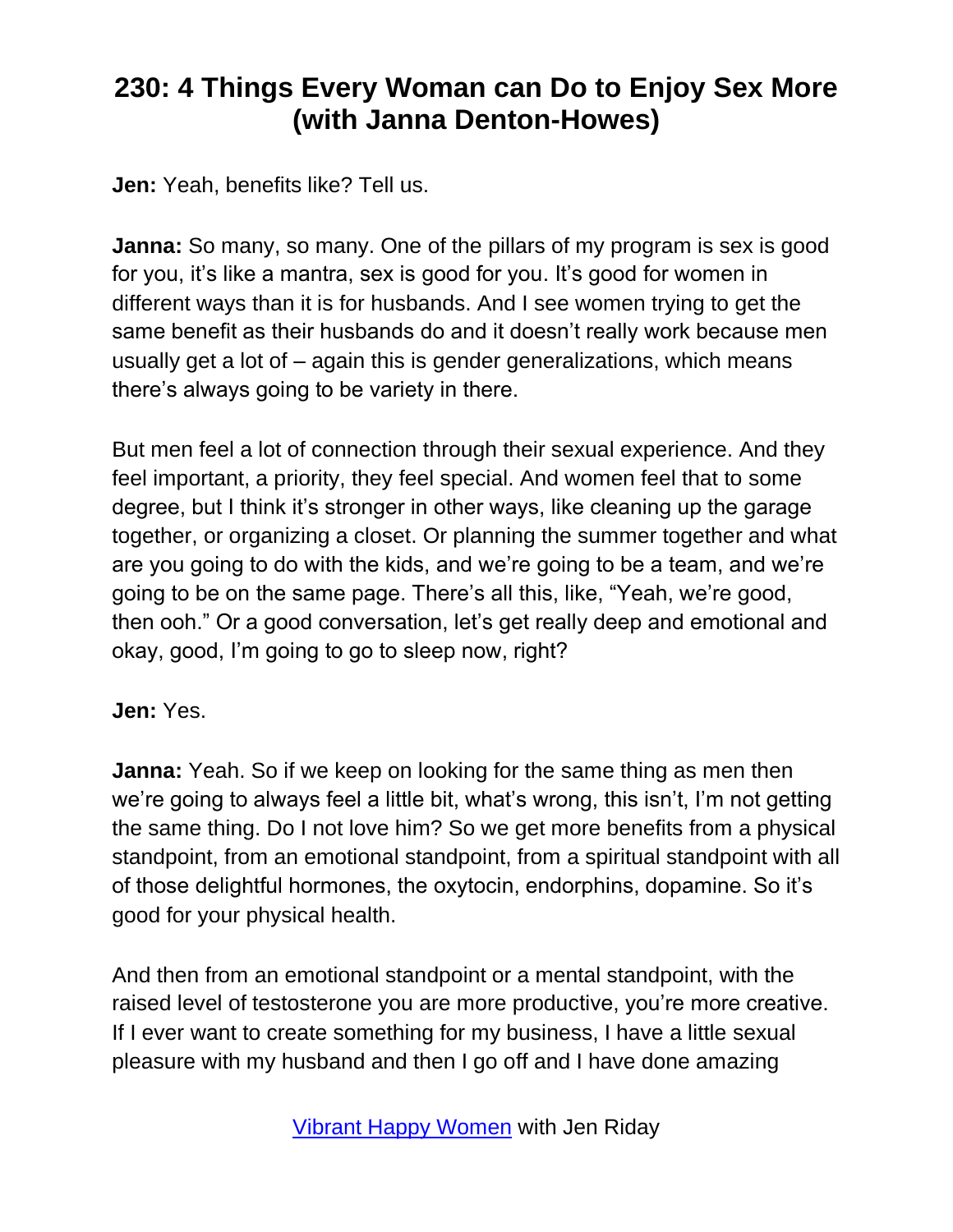**Jen:** Yeah, benefits like? Tell us.

**Janna:** So many, so many. One of the pillars of my program is sex is good for you, it's like a mantra, sex is good for you. It's good for women in different ways than it is for husbands. And I see women trying to get the same benefit as their husbands do and it doesn't really work because men usually get a lot of – again this is gender generalizations, which means there's always going to be variety in there.

But men feel a lot of connection through their sexual experience. And they feel important, a priority, they feel special. And women feel that to some degree, but I think it's stronger in other ways, like cleaning up the garage together, or organizing a closet. Or planning the summer together and what are you going to do with the kids, and we're going to be a team, and we're going to be on the same page. There's all this, like, "Yeah, we're good, then ooh." Or a good conversation, let's get really deep and emotional and okay, good, I'm going to go to sleep now, right?

#### **Jen:** Yes.

**Janna:** Yeah. So if we keep on looking for the same thing as men then we're going to always feel a little bit, what's wrong, this isn't, I'm not getting the same thing. Do I not love him? So we get more benefits from a physical standpoint, from an emotional standpoint, from a spiritual standpoint with all of those delightful hormones, the oxytocin, endorphins, dopamine. So it's good for your physical health.

And then from an emotional standpoint or a mental standpoint, with the raised level of testosterone you are more productive, you're more creative. If I ever want to create something for my business, I have a little sexual pleasure with my husband and then I go off and I have done amazing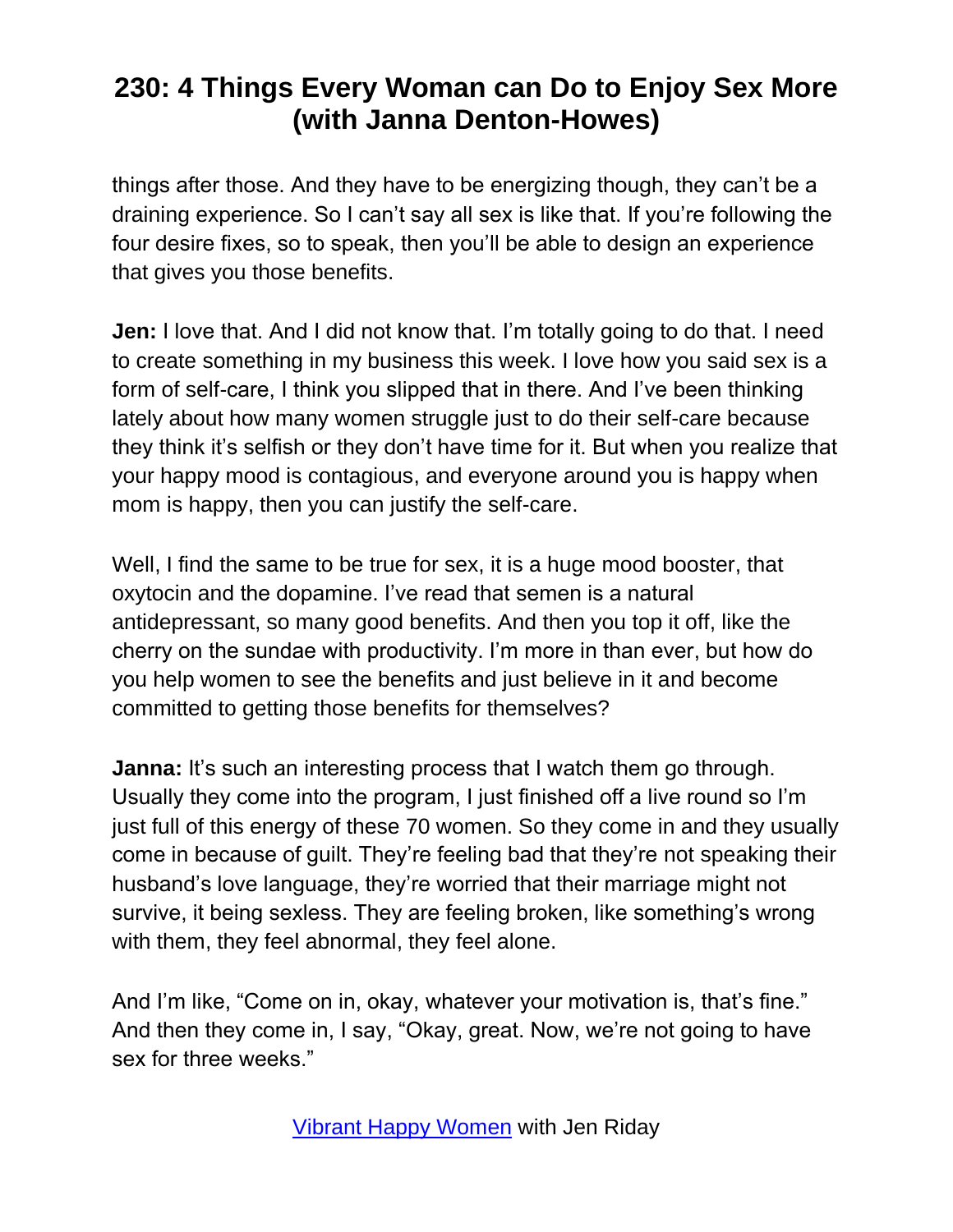things after those. And they have to be energizing though, they can't be a draining experience. So I can't say all sex is like that. If you're following the four desire fixes, so to speak, then you'll be able to design an experience that gives you those benefits.

**Jen:** I love that. And I did not know that. I'm totally going to do that. I need to create something in my business this week. I love how you said sex is a form of self-care, I think you slipped that in there. And I've been thinking lately about how many women struggle just to do their self-care because they think it's selfish or they don't have time for it. But when you realize that your happy mood is contagious, and everyone around you is happy when mom is happy, then you can justify the self-care.

Well, I find the same to be true for sex, it is a huge mood booster, that oxytocin and the dopamine. I've read that semen is a natural antidepressant, so many good benefits. And then you top it off, like the cherry on the sundae with productivity. I'm more in than ever, but how do you help women to see the benefits and just believe in it and become committed to getting those benefits for themselves?

**Janna:** It's such an interesting process that I watch them go through. Usually they come into the program, I just finished off a live round so I'm just full of this energy of these 70 women. So they come in and they usually come in because of guilt. They're feeling bad that they're not speaking their husband's love language, they're worried that their marriage might not survive, it being sexless. They are feeling broken, like something's wrong with them, they feel abnormal, they feel alone.

And I'm like, "Come on in, okay, whatever your motivation is, that's fine." And then they come in, I say, "Okay, great. Now, we're not going to have sex for three weeks."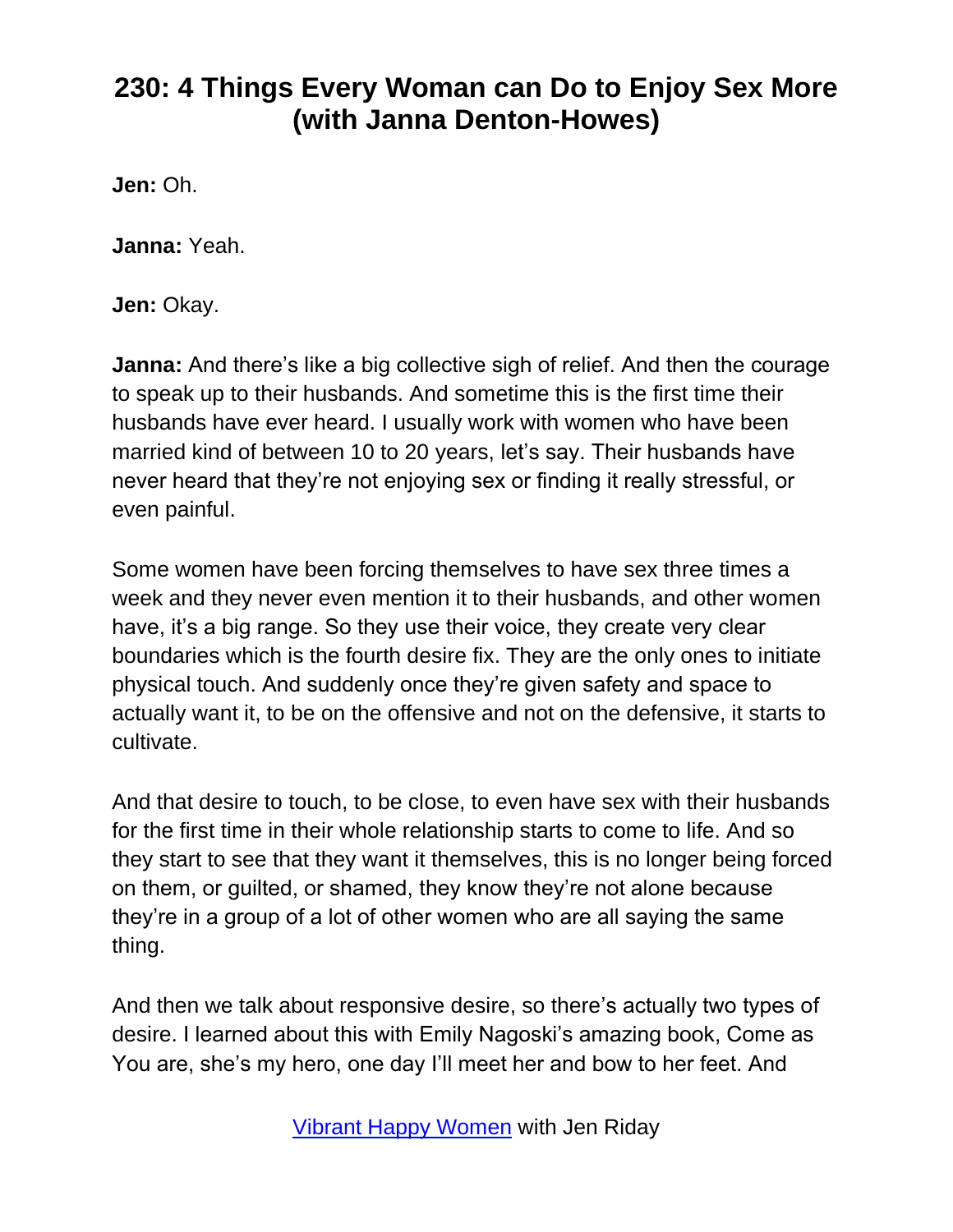**Jen:** Oh.

**Janna:** Yeah.

**Jen:** Okay.

**Janna:** And there's like a big collective sigh of relief. And then the courage to speak up to their husbands. And sometime this is the first time their husbands have ever heard. I usually work with women who have been married kind of between 10 to 20 years, let's say. Their husbands have never heard that they're not enjoying sex or finding it really stressful, or even painful.

Some women have been forcing themselves to have sex three times a week and they never even mention it to their husbands, and other women have, it's a big range. So they use their voice, they create very clear boundaries which is the fourth desire fix. They are the only ones to initiate physical touch. And suddenly once they're given safety and space to actually want it, to be on the offensive and not on the defensive, it starts to cultivate.

And that desire to touch, to be close, to even have sex with their husbands for the first time in their whole relationship starts to come to life. And so they start to see that they want it themselves, this is no longer being forced on them, or guilted, or shamed, they know they're not alone because they're in a group of a lot of other women who are all saying the same thing.

And then we talk about responsive desire, so there's actually two types of desire. I learned about this with Emily Nagoski's amazing book, Come as You are, she's my hero, one day I'll meet her and bow to her feet. And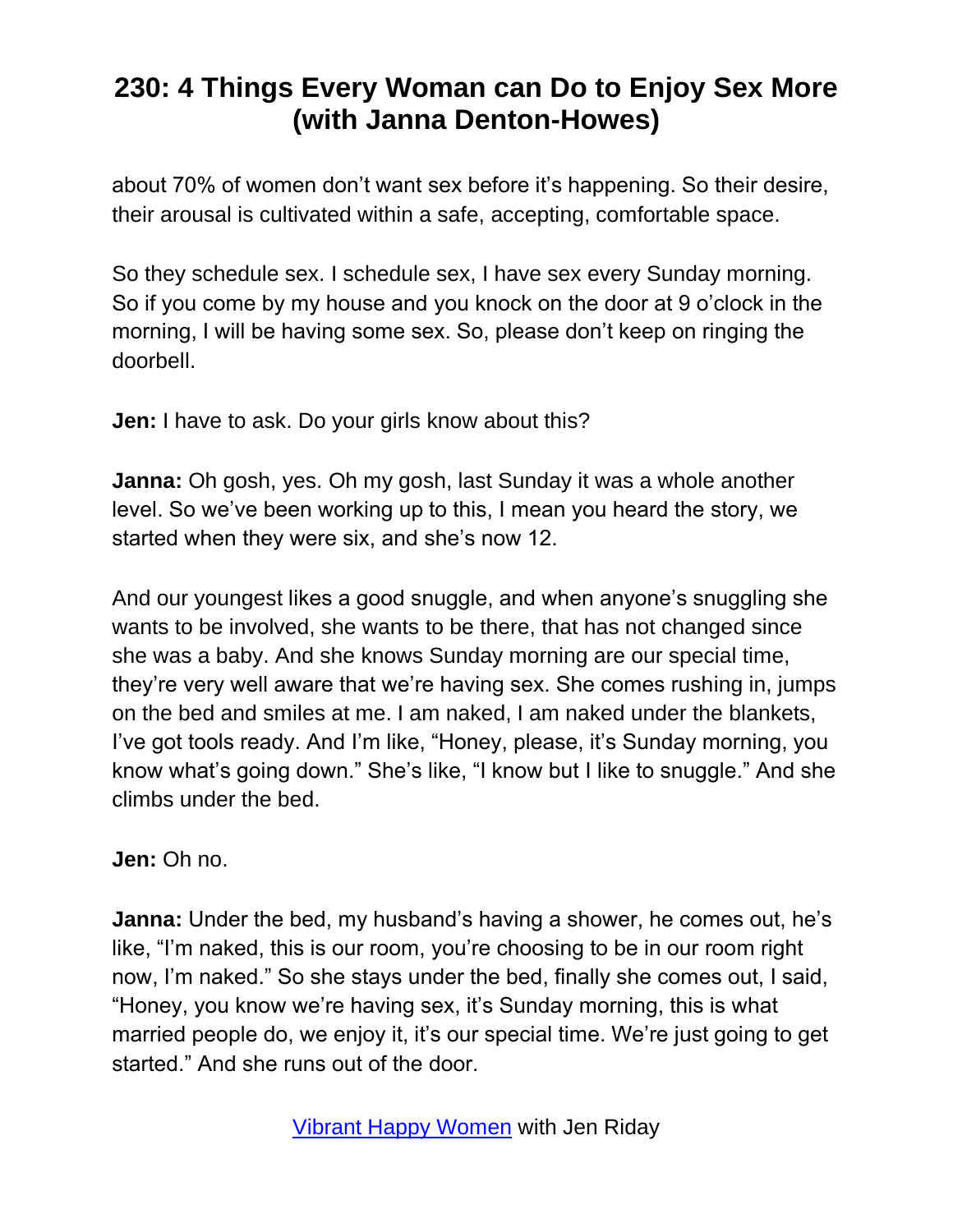about 70% of women don't want sex before it's happening. So their desire, their arousal is cultivated within a safe, accepting, comfortable space.

So they schedule sex. I schedule sex, I have sex every Sunday morning. So if you come by my house and you knock on the door at 9 o'clock in the morning, I will be having some sex. So, please don't keep on ringing the doorbell.

**Jen:** I have to ask. Do your girls know about this?

**Janna:** Oh gosh, yes. Oh my gosh, last Sunday it was a whole another level. So we've been working up to this, I mean you heard the story, we started when they were six, and she's now 12.

And our youngest likes a good snuggle, and when anyone's snuggling she wants to be involved, she wants to be there, that has not changed since she was a baby. And she knows Sunday morning are our special time, they're very well aware that we're having sex. She comes rushing in, jumps on the bed and smiles at me. I am naked, I am naked under the blankets, I've got tools ready. And I'm like, "Honey, please, it's Sunday morning, you know what's going down." She's like, "I know but I like to snuggle." And she climbs under the bed.

**Jen:** Oh no.

**Janna:** Under the bed, my husband's having a shower, he comes out, he's like, "I'm naked, this is our room, you're choosing to be in our room right now, I'm naked." So she stays under the bed, finally she comes out, I said, "Honey, you know we're having sex, it's Sunday morning, this is what married people do, we enjoy it, it's our special time. We're just going to get started." And she runs out of the door.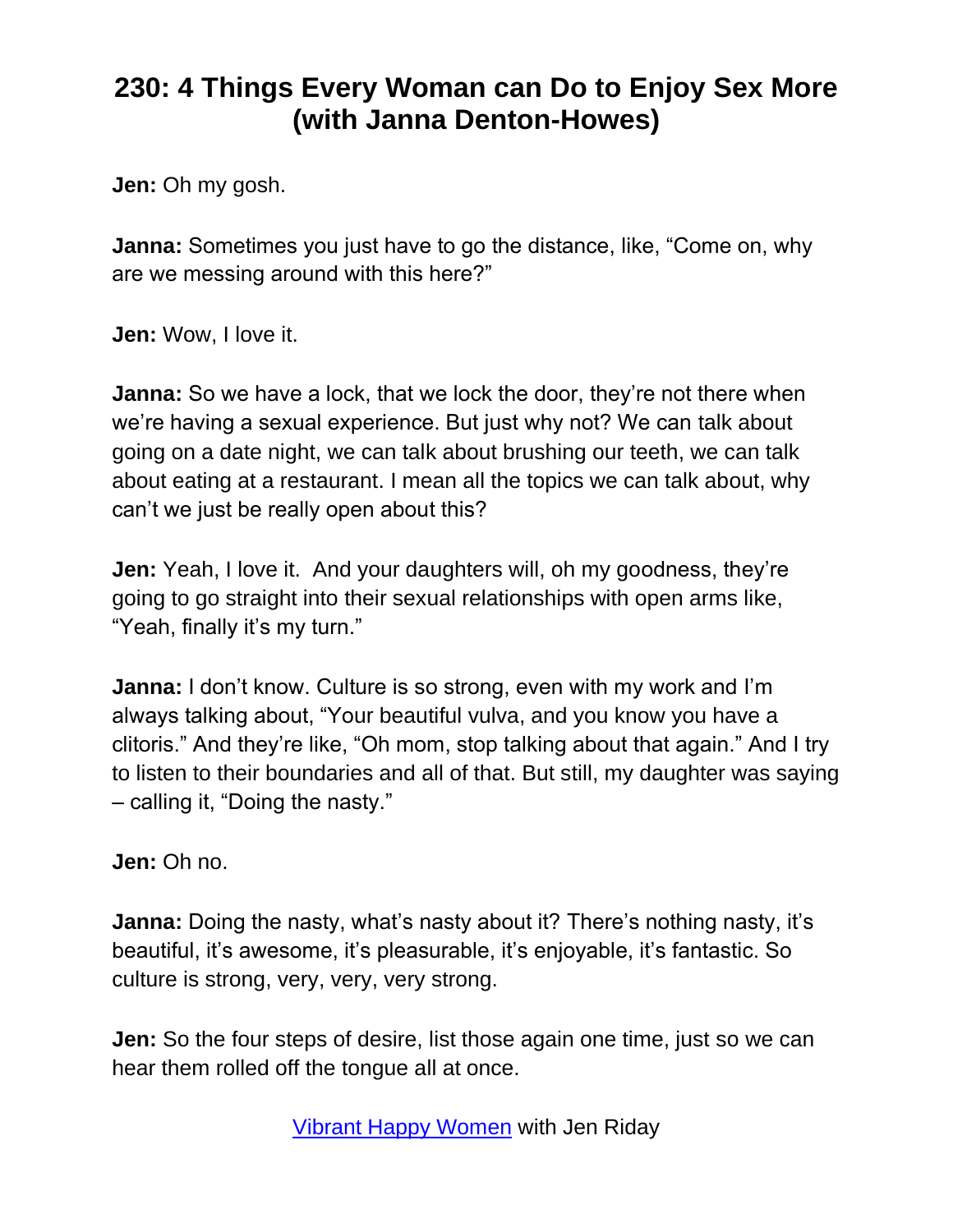**Jen:** Oh my gosh.

**Janna:** Sometimes you just have to go the distance, like, "Come on, why are we messing around with this here?"

**Jen:** Wow, I love it.

**Janna:** So we have a lock, that we lock the door, they're not there when we're having a sexual experience. But just why not? We can talk about going on a date night, we can talk about brushing our teeth, we can talk about eating at a restaurant. I mean all the topics we can talk about, why can't we just be really open about this?

**Jen:** Yeah, I love it. And your daughters will, oh my goodness, they're going to go straight into their sexual relationships with open arms like, "Yeah, finally it's my turn."

**Janna:** I don't know. Culture is so strong, even with my work and I'm always talking about, "Your beautiful vulva, and you know you have a clitoris." And they're like, "Oh mom, stop talking about that again." And I try to listen to their boundaries and all of that. But still, my daughter was saying – calling it, "Doing the nasty."

**Jen:** Oh no.

**Janna:** Doing the nasty, what's nasty about it? There's nothing nasty, it's beautiful, it's awesome, it's pleasurable, it's enjoyable, it's fantastic. So culture is strong, very, very, very strong.

**Jen:** So the four steps of desire, list those again one time, just so we can hear them rolled off the tongue all at once.

[Vibrant Happy Women](https://www.jenriday.com/podcast/) with Jen Riday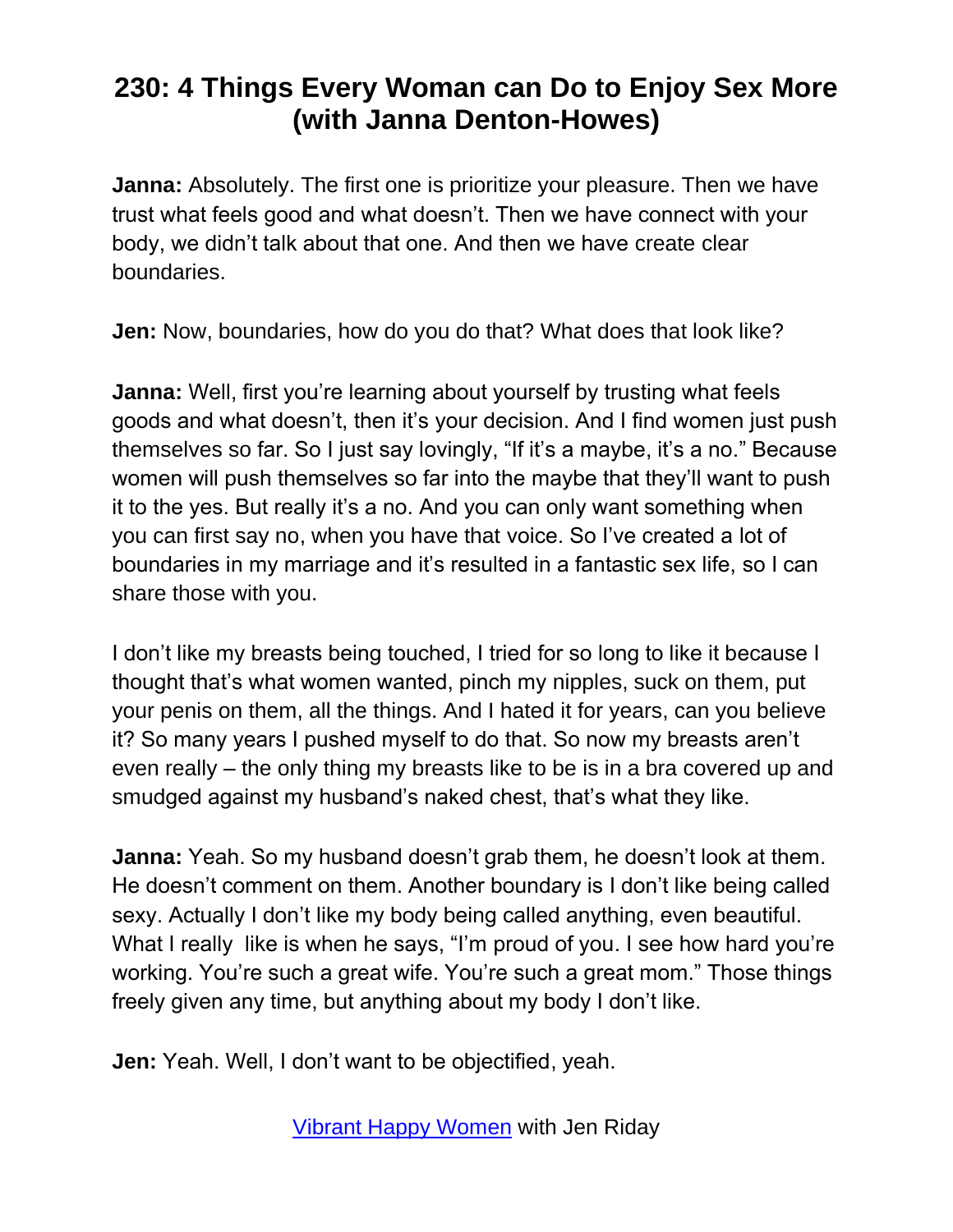**Janna:** Absolutely. The first one is prioritize your pleasure. Then we have trust what feels good and what doesn't. Then we have connect with your body, we didn't talk about that one. And then we have create clear boundaries.

**Jen:** Now, boundaries, how do you do that? What does that look like?

**Janna:** Well, first you're learning about yourself by trusting what feels goods and what doesn't, then it's your decision. And I find women just push themselves so far. So I just say lovingly, "If it's a maybe, it's a no." Because women will push themselves so far into the maybe that they'll want to push it to the yes. But really it's a no. And you can only want something when you can first say no, when you have that voice. So I've created a lot of boundaries in my marriage and it's resulted in a fantastic sex life, so I can share those with you.

I don't like my breasts being touched, I tried for so long to like it because I thought that's what women wanted, pinch my nipples, suck on them, put your penis on them, all the things. And I hated it for years, can you believe it? So many years I pushed myself to do that. So now my breasts aren't even really – the only thing my breasts like to be is in a bra covered up and smudged against my husband's naked chest, that's what they like.

**Janna:** Yeah. So my husband doesn't grab them, he doesn't look at them. He doesn't comment on them. Another boundary is I don't like being called sexy. Actually I don't like my body being called anything, even beautiful. What I really like is when he says, "I'm proud of you. I see how hard you're working. You're such a great wife. You're such a great mom." Those things freely given any time, but anything about my body I don't like.

**Jen:** Yeah. Well, I don't want to be objectified, yeah.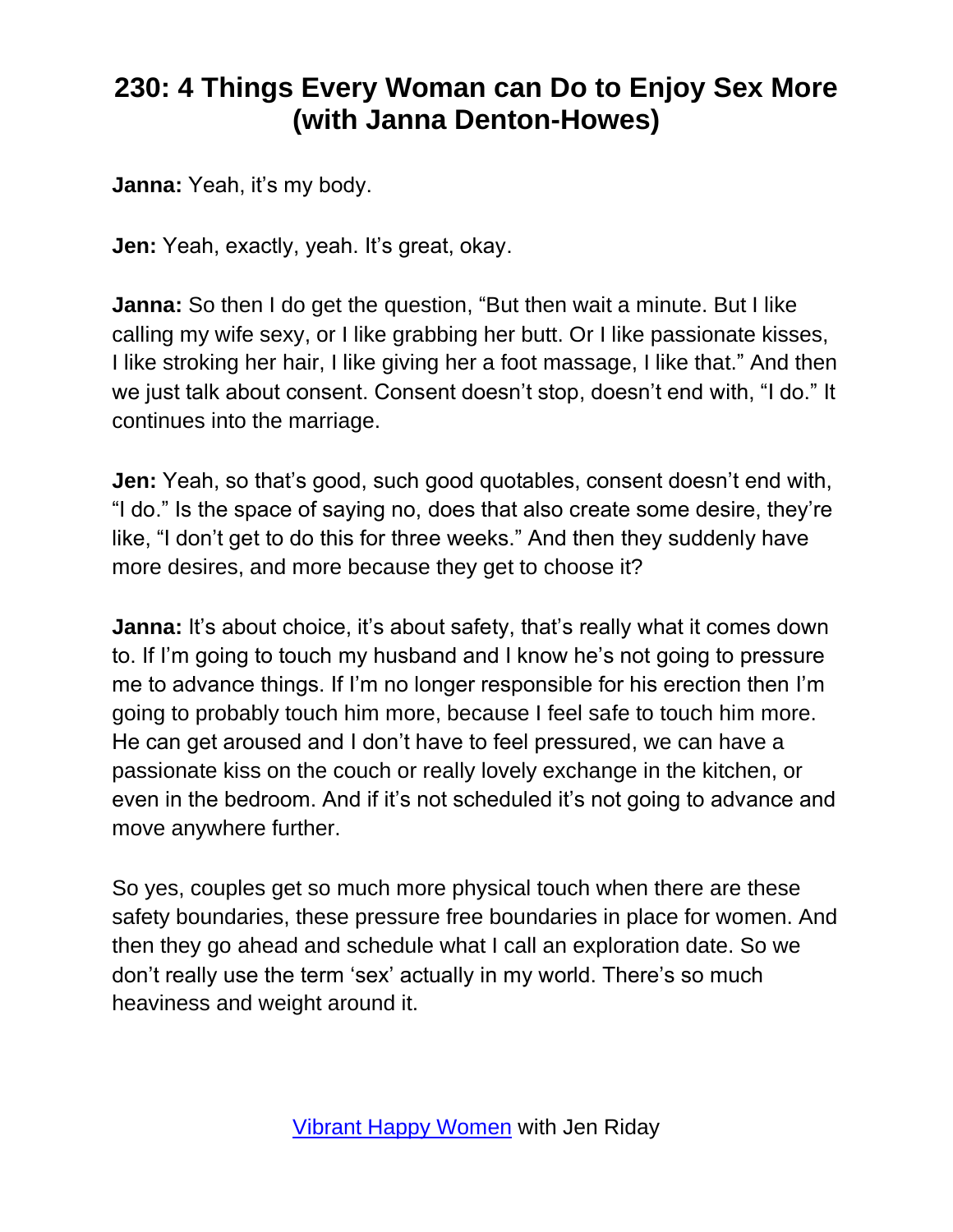**Janna:** Yeah, it's my body.

**Jen:** Yeah, exactly, yeah. It's great, okay.

**Janna:** So then I do get the question, "But then wait a minute. But I like calling my wife sexy, or I like grabbing her butt. Or I like passionate kisses, I like stroking her hair, I like giving her a foot massage, I like that." And then we just talk about consent. Consent doesn't stop, doesn't end with, "I do." It continues into the marriage.

**Jen:** Yeah, so that's good, such good quotables, consent doesn't end with, "I do." Is the space of saying no, does that also create some desire, they're like, "I don't get to do this for three weeks." And then they suddenly have more desires, and more because they get to choose it?

**Janna:** It's about choice, it's about safety, that's really what it comes down to. If I'm going to touch my husband and I know he's not going to pressure me to advance things. If I'm no longer responsible for his erection then I'm going to probably touch him more, because I feel safe to touch him more. He can get aroused and I don't have to feel pressured, we can have a passionate kiss on the couch or really lovely exchange in the kitchen, or even in the bedroom. And if it's not scheduled it's not going to advance and move anywhere further.

So yes, couples get so much more physical touch when there are these safety boundaries, these pressure free boundaries in place for women. And then they go ahead and schedule what I call an exploration date. So we don't really use the term 'sex' actually in my world. There's so much heaviness and weight around it.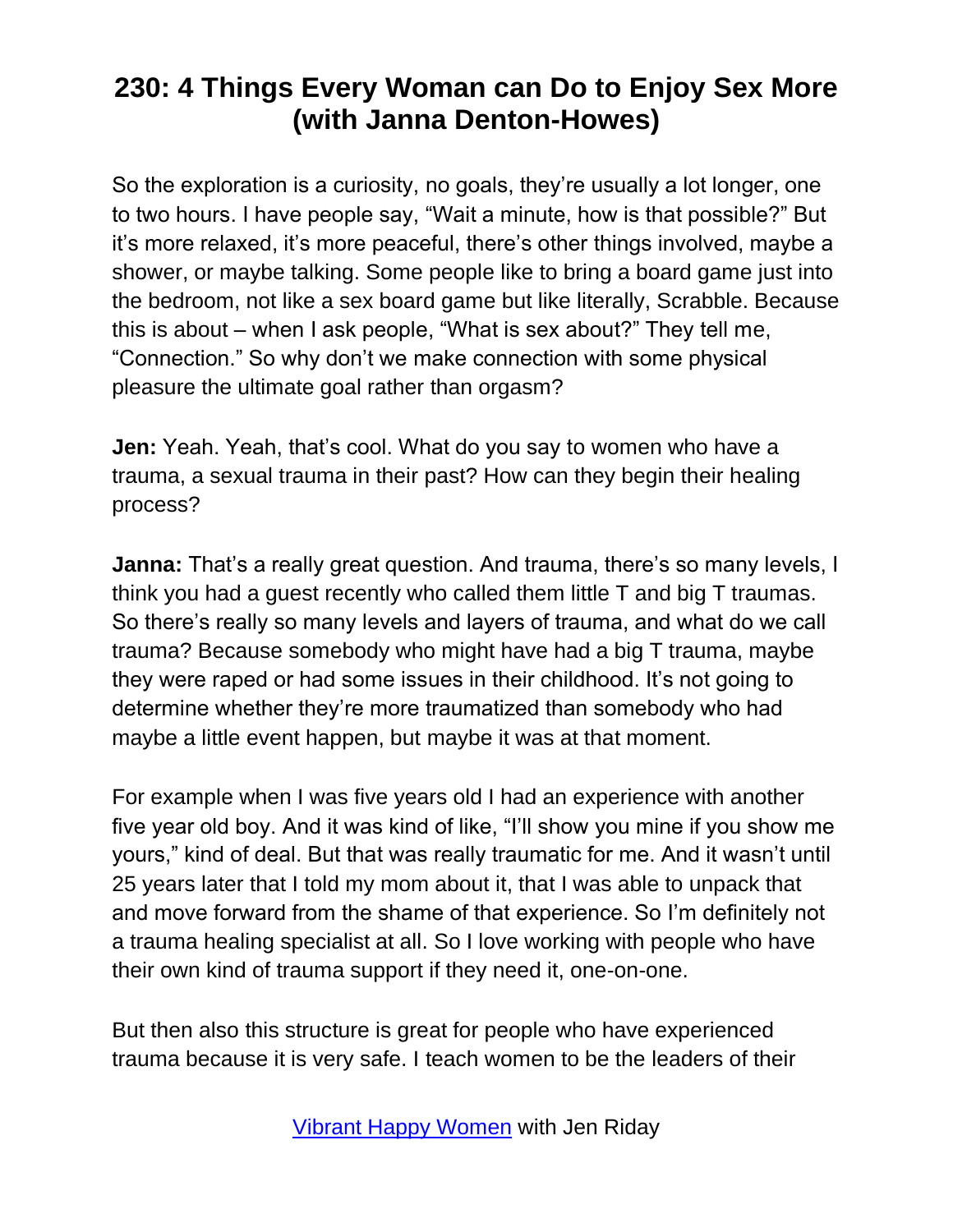So the exploration is a curiosity, no goals, they're usually a lot longer, one to two hours. I have people say, "Wait a minute, how is that possible?" But it's more relaxed, it's more peaceful, there's other things involved, maybe a shower, or maybe talking. Some people like to bring a board game just into the bedroom, not like a sex board game but like literally, Scrabble. Because this is about – when I ask people, "What is sex about?" They tell me, "Connection." So why don't we make connection with some physical pleasure the ultimate goal rather than orgasm?

**Jen:** Yeah. Yeah, that's cool. What do you say to women who have a trauma, a sexual trauma in their past? How can they begin their healing process?

**Janna:** That's a really great question. And trauma, there's so many levels, I think you had a guest recently who called them little T and big T traumas. So there's really so many levels and layers of trauma, and what do we call trauma? Because somebody who might have had a big T trauma, maybe they were raped or had some issues in their childhood. It's not going to determine whether they're more traumatized than somebody who had maybe a little event happen, but maybe it was at that moment.

For example when I was five years old I had an experience with another five year old boy. And it was kind of like, "I'll show you mine if you show me yours," kind of deal. But that was really traumatic for me. And it wasn't until 25 years later that I told my mom about it, that I was able to unpack that and move forward from the shame of that experience. So I'm definitely not a trauma healing specialist at all. So I love working with people who have their own kind of trauma support if they need it, one-on-one.

But then also this structure is great for people who have experienced trauma because it is very safe. I teach women to be the leaders of their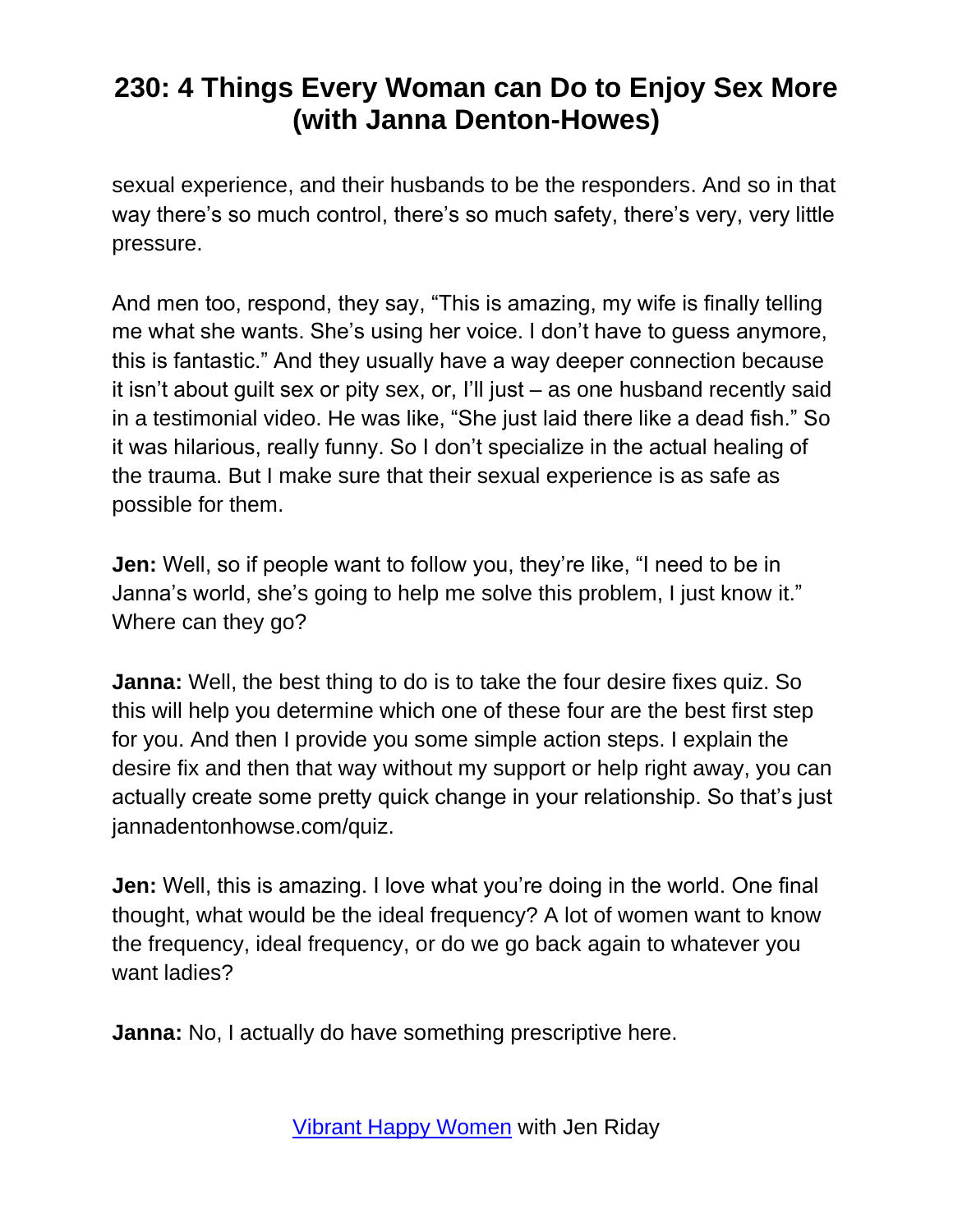sexual experience, and their husbands to be the responders. And so in that way there's so much control, there's so much safety, there's very, very little pressure.

And men too, respond, they say, "This is amazing, my wife is finally telling me what she wants. She's using her voice. I don't have to guess anymore, this is fantastic." And they usually have a way deeper connection because it isn't about guilt sex or pity sex, or, I'll just – as one husband recently said in a testimonial video. He was like, "She just laid there like a dead fish." So it was hilarious, really funny. So I don't specialize in the actual healing of the trauma. But I make sure that their sexual experience is as safe as possible for them.

**Jen:** Well, so if people want to follow you, they're like, "I need to be in Janna's world, she's going to help me solve this problem, I just know it." Where can they go?

**Janna:** Well, the best thing to do is to take the four desire fixes quiz. So this will help you determine which one of these four are the best first step for you. And then I provide you some simple action steps. I explain the desire fix and then that way without my support or help right away, you can actually create some pretty quick change in your relationship. So that's just jannadentonhowse.com/quiz.

**Jen:** Well, this is amazing. I love what you're doing in the world. One final thought, what would be the ideal frequency? A lot of women want to know the frequency, ideal frequency, or do we go back again to whatever you want ladies?

**Janna:** No, I actually do have something prescriptive here.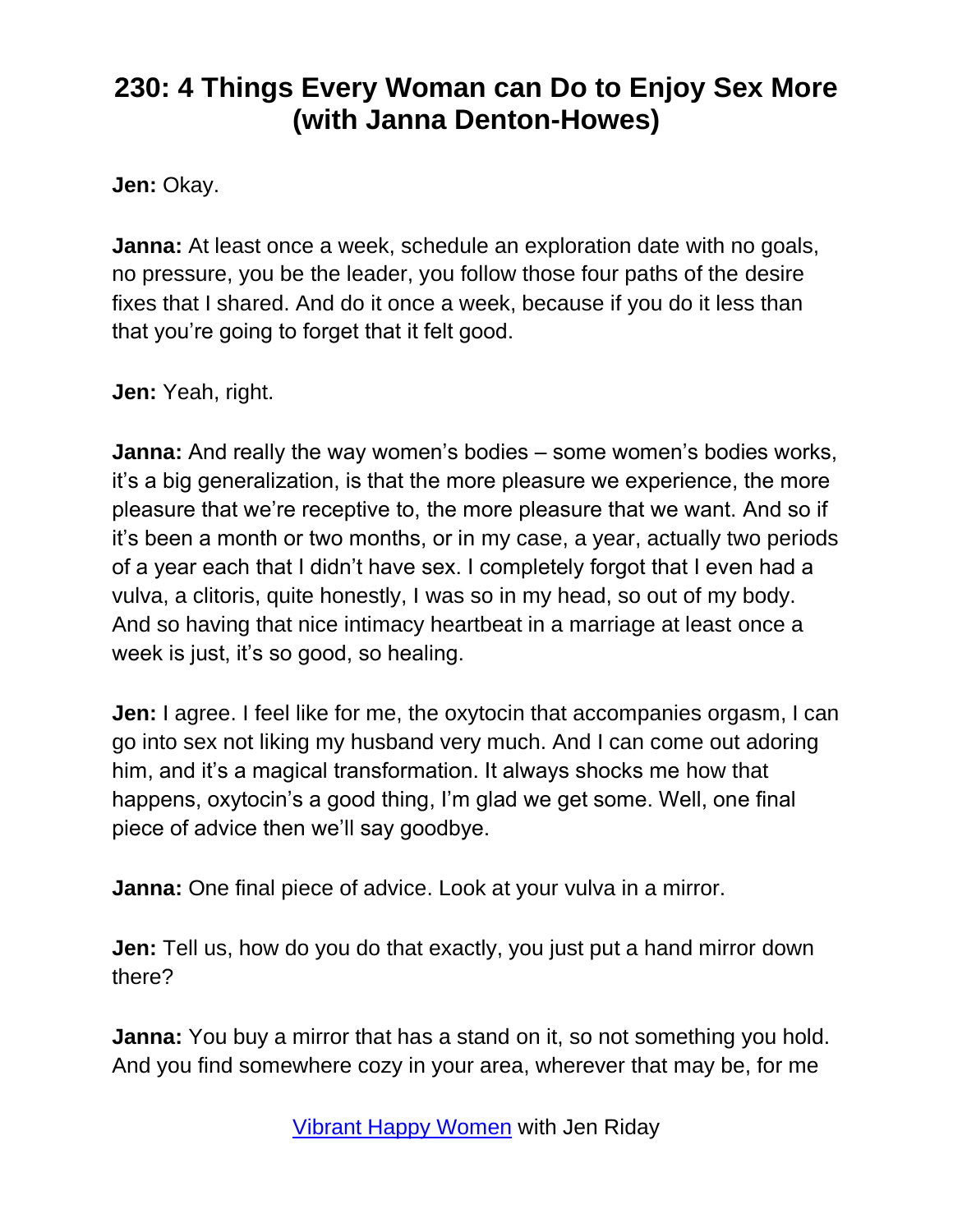**Jen:** Okay.

**Janna:** At least once a week, schedule an exploration date with no goals, no pressure, you be the leader, you follow those four paths of the desire fixes that I shared. And do it once a week, because if you do it less than that you're going to forget that it felt good.

**Jen:** Yeah, right.

**Janna:** And really the way women's bodies – some women's bodies works, it's a big generalization, is that the more pleasure we experience, the more pleasure that we're receptive to, the more pleasure that we want. And so if it's been a month or two months, or in my case, a year, actually two periods of a year each that I didn't have sex. I completely forgot that I even had a vulva, a clitoris, quite honestly, I was so in my head, so out of my body. And so having that nice intimacy heartbeat in a marriage at least once a week is just, it's so good, so healing.

**Jen:** I agree. I feel like for me, the oxytocin that accompanies orgasm, I can go into sex not liking my husband very much. And I can come out adoring him, and it's a magical transformation. It always shocks me how that happens, oxytocin's a good thing, I'm glad we get some. Well, one final piece of advice then we'll say goodbye.

**Janna:** One final piece of advice. Look at your vulva in a mirror.

**Jen:** Tell us, how do you do that exactly, you just put a hand mirror down there?

**Janna:** You buy a mirror that has a stand on it, so not something you hold. And you find somewhere cozy in your area, wherever that may be, for me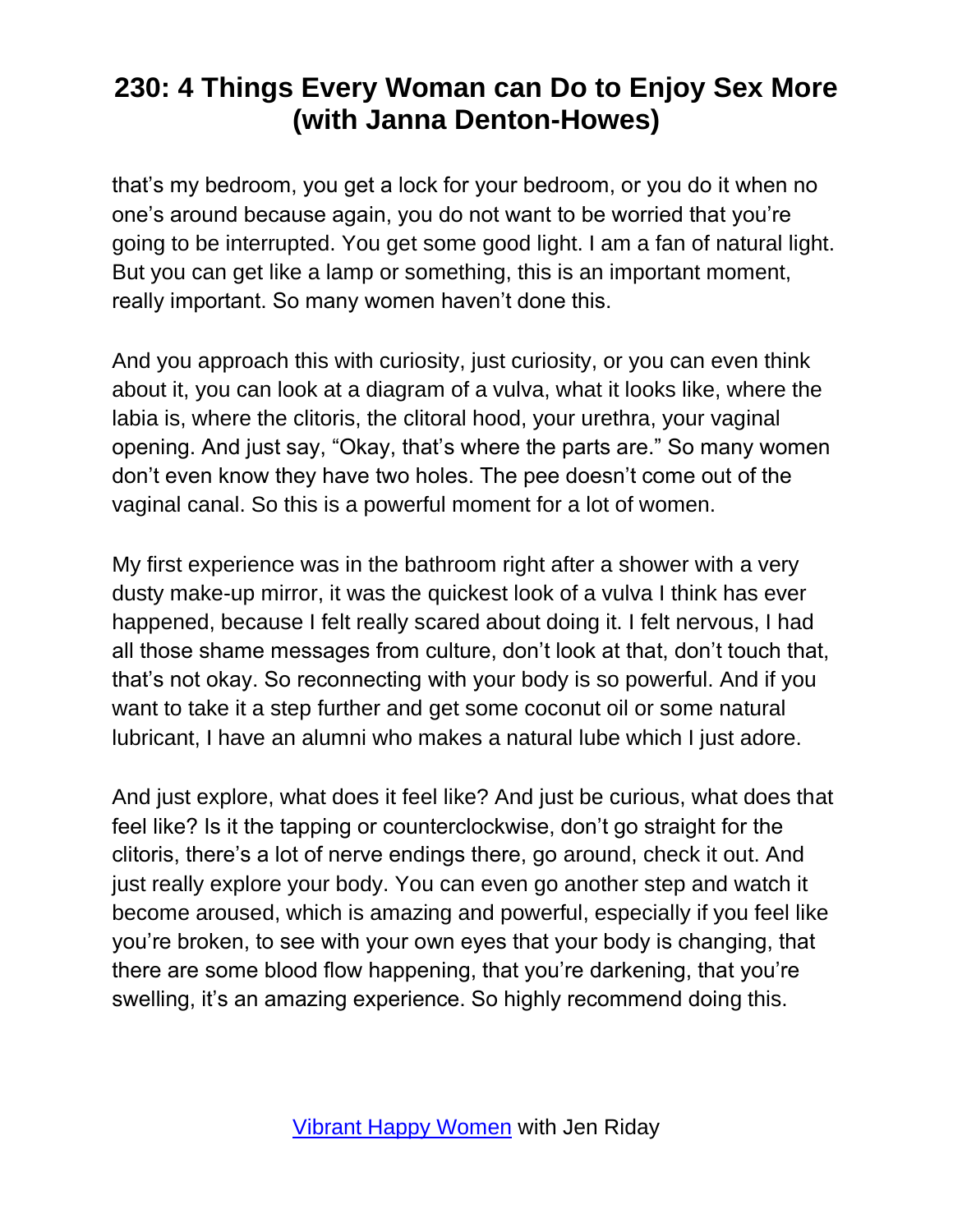that's my bedroom, you get a lock for your bedroom, or you do it when no one's around because again, you do not want to be worried that you're going to be interrupted. You get some good light. I am a fan of natural light. But you can get like a lamp or something, this is an important moment, really important. So many women haven't done this.

And you approach this with curiosity, just curiosity, or you can even think about it, you can look at a diagram of a vulva, what it looks like, where the labia is, where the clitoris, the clitoral hood, your urethra, your vaginal opening. And just say, "Okay, that's where the parts are." So many women don't even know they have two holes. The pee doesn't come out of the vaginal canal. So this is a powerful moment for a lot of women.

My first experience was in the bathroom right after a shower with a very dusty make-up mirror, it was the quickest look of a vulva I think has ever happened, because I felt really scared about doing it. I felt nervous, I had all those shame messages from culture, don't look at that, don't touch that, that's not okay. So reconnecting with your body is so powerful. And if you want to take it a step further and get some coconut oil or some natural lubricant, I have an alumni who makes a natural lube which I just adore.

And just explore, what does it feel like? And just be curious, what does that feel like? Is it the tapping or counterclockwise, don't go straight for the clitoris, there's a lot of nerve endings there, go around, check it out. And just really explore your body. You can even go another step and watch it become aroused, which is amazing and powerful, especially if you feel like you're broken, to see with your own eyes that your body is changing, that there are some blood flow happening, that you're darkening, that you're swelling, it's an amazing experience. So highly recommend doing this.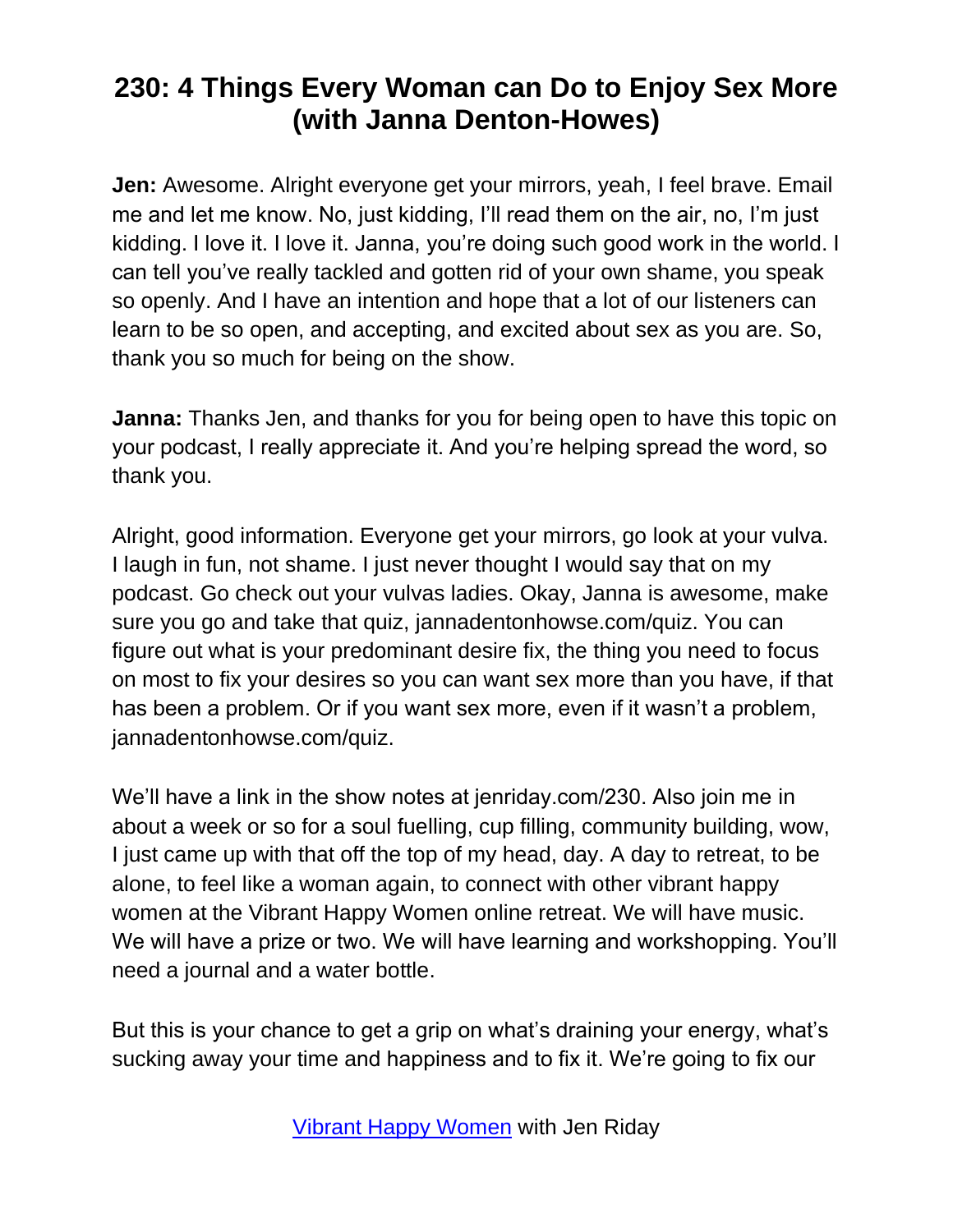**Jen:** Awesome. Alright everyone get your mirrors, yeah, I feel brave. Email me and let me know. No, just kidding, I'll read them on the air, no, I'm just kidding. I love it. I love it. Janna, you're doing such good work in the world. I can tell you've really tackled and gotten rid of your own shame, you speak so openly. And I have an intention and hope that a lot of our listeners can learn to be so open, and accepting, and excited about sex as you are. So, thank you so much for being on the show.

**Janna:** Thanks Jen, and thanks for you for being open to have this topic on your podcast, I really appreciate it. And you're helping spread the word, so thank you.

Alright, good information. Everyone get your mirrors, go look at your vulva. I laugh in fun, not shame. I just never thought I would say that on my podcast. Go check out your vulvas ladies. Okay, Janna is awesome, make sure you go and take that quiz, jannadentonhowse.com/quiz. You can figure out what is your predominant desire fix, the thing you need to focus on most to fix your desires so you can want sex more than you have, if that has been a problem. Or if you want sex more, even if it wasn't a problem, jannadentonhowse.com/quiz.

We'll have a link in the show notes at jenriday.com/230. Also join me in about a week or so for a soul fuelling, cup filling, community building, wow, I just came up with that off the top of my head, day. A day to retreat, to be alone, to feel like a woman again, to connect with other vibrant happy women at the Vibrant Happy Women online retreat. We will have music. We will have a prize or two. We will have learning and workshopping. You'll need a journal and a water bottle.

But this is your chance to get a grip on what's draining your energy, what's sucking away your time and happiness and to fix it. We're going to fix our